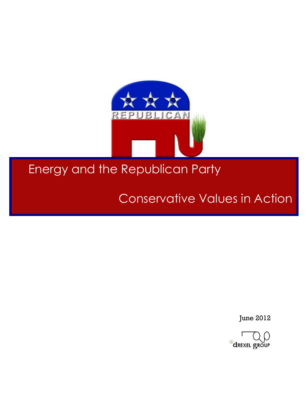

# Conservative Values in Action

June 2012

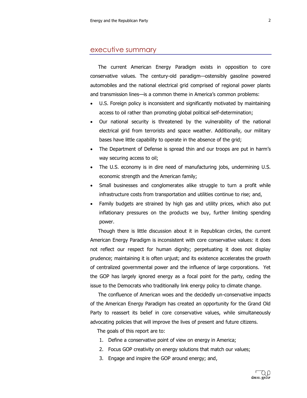#### executive summary

The current American Energy Paradigm exists in opposition to core conservative values. The century-old paradigm-ostensibly gasoline powered automobiles and the national electrical grid comprised of regional power plants and transmission lines—is a common theme in America's common problems:

- U.S. Foreign policy is inconsistent and significantly motivated by maintaining access to oil rather than promoting global political self-determination;
- Our national security is threatened by the vulnerability of the national electrical grid from terrorists and space weather. Additionally, our military bases have little capability to operate in the absence of the grid;
- The Department of Defense is spread thin and our troops are put in harm's way securing access to oil;
- The U.S. economy is in dire need of manufacturing jobs, undermining U.S. economic strength and the American family;
- Small businesses and conglomerates alike struggle to turn a profit while infrastructure costs from transportation and utilities continue to rise; and,
- Family budgets are strained by high gas and utility prices, which also put inflationary pressures on the products we buy, further limiting spending power.

Though there is little discussion about it in Republican circles, the current American Energy Paradigm is inconsistent with core conservative values: it does not reflect our respect for human dignity; perpetuating it does not display prudence; maintaining it is often unjust; and its existence accelerates the growth of'centralized'governmental'power'and' the'influence'of'large'corporations.' 'Yet' the GOP has largely ignored energy as a focal point for the party, ceding the issue to the Democrats who traditionally link energy policy to climate change.

The confluence of American woes and the decidedly un-conservative impacts of the American Energy Paradigm has created an opportunity for the Grand Old Party to reassert its belief in core conservative values, while simultaneously advocating' policies that will improve the lives of present and future citizens.

The goals of this report are to:

- 1. Define a conservative point of view on energy in America;
- 2. Focus GOP creativity on energy solutions that match our values;
- 3. Engage and inspire the GOP around energy; and,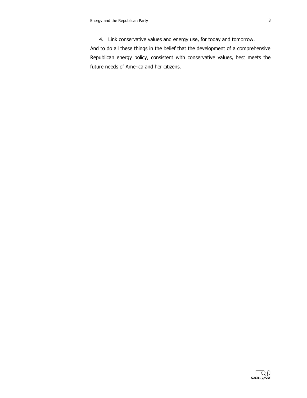4. Link conservative values and energy use, for today and tomorrow.

And to do all these things in the belief that the development of a comprehensive Republican energy policy, consistent with conservative values, best meets the future needs of America and her citizens.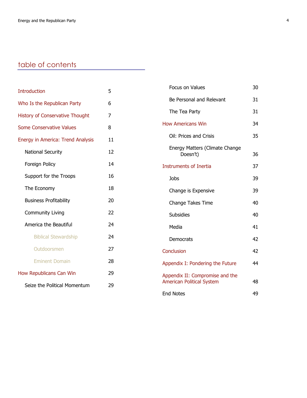# table of contents

| <b>Introduction</b>                    | 5              | Focus on Values                            | 30 |
|----------------------------------------|----------------|--------------------------------------------|----|
| Who Is the Republican Party            | 6              | Be Personal and Relevant                   | 31 |
| <b>History of Conservative Thought</b> | $\overline{7}$ | The Tea Party                              | 31 |
| <b>Some Conservative Values</b>        | 8              | <b>How Americans Win</b>                   | 34 |
| Energy in America: Trend Analysis      | 11             | Oil: Prices and Crisis                     | 35 |
| <b>National Security</b>               | 12             | Energy Matters (Climate Change<br>Doesn't) | 36 |
| Foreign Policy                         | 14             | <b>Instruments of Inertia</b>              | 37 |
| Support for the Troops                 | 16             | <b>Jobs</b>                                | 39 |
| The Economy                            | 18             | Change is Expensive                        | 39 |
| <b>Business Profitability</b>          | 20             | Change Takes Time                          | 40 |
| <b>Community Living</b>                | 22             | <b>Subsidies</b>                           | 40 |
| America the Beautiful                  | 24             | Media                                      | 41 |
| <b>Biblical Stewardship</b>            | 24             | Democrats                                  | 42 |
| Outdoorsmen                            | 27             | Conclusion                                 | 42 |
| <b>Eminent Domain</b>                  | 28             | Appendix I: Pondering the Future           | 44 |
| How Republicans Can Win                | 29             | Appendix II: Compromise and the            |    |
| Seize the Political Momentum           | 29             | <b>American Political System</b>           | 48 |
|                                        |                | <b>End Notes</b>                           | 49 |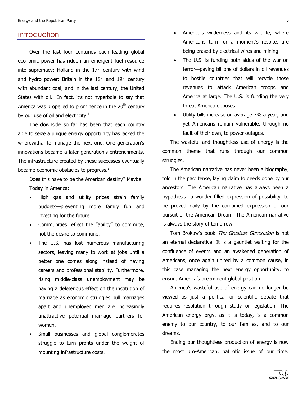#### introduction

Over the last four centuries each leading global economic power has ridden an emergent fuel resource into supremacy: Holland in the  $17<sup>th</sup>$  century with wind and hydro power; Britain in the  $18<sup>th</sup>$  and  $19<sup>th</sup>$  century with abundant coal; and in the last century, the United States with oil. In fact, it's not hyperbole to say that America was propelled to prominence in the  $20<sup>th</sup>$  century by our use of oil and electricity.<sup>1</sup>

The downside so far has been that each country able to seize a unique energy opportunity has lacked the wherewithal to manage the next one. One generation's innovations became a later generation's entrenchments. The infrastructure created by these successes eventually became economic obstacles to progress.<sup>2</sup>

Does this have to be the American destiny? Maybe. Today in America:

- High gas and utility prices strain family budgets-preventing more family fun and investing for the future.
- Communities reflect the "ability" to commute, not the desire to commune.
- The U.S. has lost numerous manufacturing sectors, leaving many to work at jobs until a better one comes along instead of having careers and professional stability. Furthermore, rising middle-class unemployment may be having a deleterious effect on the institution of marriage as economic struggles pull marriages apart and unemployed men are increasingly unattractive potential marriage partners for women.'
- Small businesses and global conglomerates struggle to turn profits under the weight of mounting infrastructure costs.
- America's wilderness and its wildlife, where Americans turn for a moment's respite, are being erased by electrical wires and mining.
- The U.S. is funding both sides of the war on terror-paying billions of dollars in oil revenues to hostile countries that will recycle those revenues to attack American troops and America at large. The U.S. is funding the very threat America opposes.
- Utility bills increase on average 7% a year, and yet Americans remain vulnerable, through no fault of their own, to power outages.

The wasteful and thoughtless use of energy is the common theme that runs through our common struggles.

The American narrative has never been a biography, told in the past tense, laying claim to deeds done by our ancestors. The American narrative has always been a hypothesis-a wonder filled expression of possibility, to be proved daily by the combined expression of our pursuit of the American Dream. The American narrative is always the story of tomorrow.

Tom Brokaw's book The Greatest Generation is not an eternal declarative. It is a gauntlet waiting for the confluence of events and an awakened generation of Americans, once again united by a common cause, in this case managing the next energy opportunity, to ensure America's preeminent global position.

America's wasteful use of energy can no longer be viewed as just a political or scientific debate that requires resolution through study or legislation. The American energy orgy, as it is today, is a common enemy to our country, to our families, and to our dreams.'

Ending our thoughtless production of energy is now the most pro-American, patriotic issue of our time.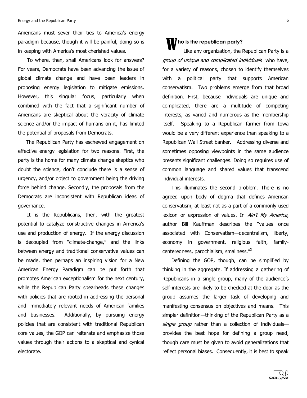#### Energy and the Republican Party 6 and the Republican's Party 6 and the Republican's Party 6 and the Republican Party 6 and the Republican Party 6 and the Republican Party 6 and the Republican Party 6 and the Republican Par

Americans must sever their ties to America's energy paradigm because, though it will be painful, doing so is in keeping with America's most cherished values.

To where, then, shall Americans look for answers? For years, Democrats have been advancing the issue of global climate change and have been leaders in proposing energy legislation to mitigate emissions. However, this singular focus, particularly when combined with the fact that a significant number of Americans are skeptical about the veracity of climate science and/or the impact of humans on it, has limited the potential of proposals from Democrats.

The Republican Party has eschewed engagement on effective energy legislation for two reasons. First, the party is the home for many climate change skeptics who doubt the science, don't conclude there is a sense of urgency, and/or object to government being the driving force behind change. Secondly, the proposals from the Democrats are inconsistent with Republican ideas of governance.

It is the Republicans, then, with the greatest potential to catalyze constructive changes in America's use and production of energy. If the energy discussion is decoupled from "climate-change," and the links between energy and traditional conservative values can be made, then perhaps an inspiring vision for a New American Energy Paradigm can be put forth that promotes American exceptionalism for the next century, while the Republican Party spearheads these changes with policies that are rooted in addressing the personal and immediately relevant needs of American families and businesses. Additionally, by pursuing energy policies that are consistent with traditional Republican core values, the GOP can reiterate and emphasize those values through their actions to a skeptical and cynical electorate.

# *M* ho is the republican party? w

Like any organization, the Republican Party is a group of unique and complicated individuals who have, for a variety of reasons, chosen to identify themselves with a political party that supports American conservatism. Two problems emerge from that broad definition. First, because individuals are unique and complicated, there are a multitude of competing interests, as varied and numerous as the membership itself. Speaking to a Republican farmer from Iowa would be a very different experience than speaking to a Republican Wall Street banker. Addressing diverse and sometimes opposing viewpoints in the same audience presents significant challenges. Doing so requires use of common' language' and' shared' values' that' transcend' individual interests.

This illuminates the second problem. There is no agreed upon body of dogma that defines American conservatism, at least not as a part of a commonly used lexicon or expression of values. In  $A\text{in}'t$  My America, author Bill Kauffman describes the "values once associated with Conservatism-decentralism, liberty, economy in government, religious faith, familycenteredness, parochialism, smallness."<sup>3</sup>

Defining the GOP, though, can be simplified by thinking in the aggregate. If addressing a gathering of Republicans in a single group, many of the audience's self-interests are likely to be checked at the door as the group assumes the larger task of developing and manifesting consensus on objectives and means. This simpler definition-thinking of the Republican Party as a single group rather than a collection of individualsprovides the best hope for defining a group need, though care must be given to avoid generalizations that reflect personal biases. Consequently, it is best to speak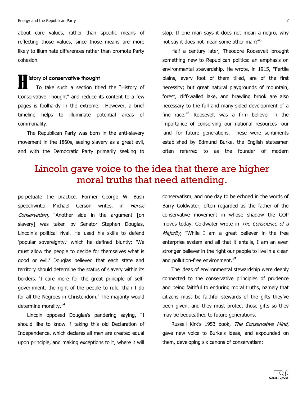Energy and the Republican Party 7 and the Republican's Party 7 and 2008. The energy and the Republican Party 7 and 2008. The energy and the Republican Party 7 and 2008. The energy and the Republican Party 7 and 2008. The e

about core values, rather than specific means of reflecting those values, since those means are more likely to illuminate differences rather than promote Party cohesion.

**istory of conservative thought**<br>
To take such a section tit To take such a section titled the "History of Conservative Thought" and reduce its content to a few pages is foolhardy in the extreme. However, a brief timeline helps to illuminate potential areas of commonality.

The Republican Party was born in the anti-slavery movement in the 1860s, seeing slavery as a great evil, and with the Democratic Party primarily seeking to

stop. If one man says it does not mean a negro, why not say it does not mean some other man?"<sup>5</sup>

Half a century later, Theodore Roosevelt brought something new to Republican politics: an emphasis on environmental stewardship. He wrote, in 1915, "Fertile plains, every foot of them tilled, are of the first necessity; but great natural playgrounds of mountain, forest, cliff-walled lake, and brawling brook are also necessary to the full and many-sided development of a fine race.<sup>"6</sup> Roosevelt was a firm believer in the importance of conserving our national resources-our land-for future generations. These were sentiments established by Edmund Burke, the English statesmen often' referred' to' as' the' founder' of' modern'

# Lincoln gave voice to the idea that there are higher moral truths that need attending.

perpetuate the practice. Former George W. Bush speechwriter Michael Gerson writes, in Heroic Conservatism, "Another side in the argument [on slavery] was taken by Senator Stephen Douglas, Lincoln's political rival. He used his skills to defend 'popular sovereignty,' which he defined bluntly: 'We must allow the people to decide for themselves what is good or evil.' Douglas believed that each state and territory should determine the status of slavery within its borders. 'I care more for the great principle of selfgovernment, the right of the people to rule, than I do for all the Negroes in Christendom.' The majority would determine morality."<sup>4</sup>

Lincoln opposed Douglas's pandering saying, "I should like to know if taking this old Declaration of Independence, which declares all men are created equal upon principle, and making exceptions to it, where it will

conservatism, and one day to be echoed in the words of Barry Goldwater, often regarded as the father of the conservative' movement' in' whose' shadow' the' GOP' moves today. Goldwater wrote in The Conscience of a Majority, "While I am a great believer in the free enterprise system and all that it entails, I am an even stronger believer in the right our people to live in a clean and pollution-free environment. $"$ 

The ideas of environmental stewardship were deeply connected to the conservative principles of prudence and being faithful to enduring moral truths, namely that citizens must be faithful stewards of the gifts they've been given, and they must protect those gifts so they may be bequeathed to future generations.

Russell Kirk's 1953 book, The Conservative Mind, gave new voice to Burke's ideas, and expounded on them, developing six canons of conservatism: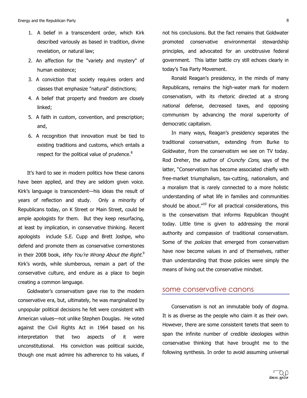- 1. A belief in a transcendent order, which Kirk described variously as based in tradition, divine revelation, or natural law;
- 2. An affection for the "variety and mystery" of human existence:
- 3. A conviction that society requires orders and classes that emphasize "natural" distinctions;
- 4. A belief that property and freedom are closely linked;
- 5. A faith in custom, convention, and prescription; and,
- 6. A recognition that innovation must be tied to existing traditions and customs, which entails a respect for the political value of prudence.<sup>8</sup>

It's hard to see in modern politics how these canons have been applied, and they are seldom given voice. Kirk's language is transcendent—his ideas the result of years of reflection and study. Only a minority of Republicans today, on K Street or Main Street, could be ample apologists for them. But they keep resurfacing, at least by implication, in conservative thinking. Recent apologists include S.E. Cupp and Brett Joshpe, who defend and promote them as conservative cornerstones in their 2008 book, *Why You're Wrong About the Right.*<sup>9</sup> Kirk's words, while slumberous, remain a part of the conservative culture, and endure as a place to begin creating a common language.

Goldwater's conservatism gave rise to the modern conservative era, but, ultimately, he was marginalized by unpopular political decisions he felt were consistent with American values—not unlike Stephen Douglas. He voted against the Civil Rights Act in 1964 based on his interpretation that two aspects of it were unconstitutional. His conviction was political suicide, though one must admire his adherence to his values, if

not his conclusions. But the fact remains that Goldwater promoted conservative environmental stewardship principles, and advocated for an unobtrusive federal government. This latter battle cry still echoes clearly in today's Tea Party Movement.

Ronald Reagan's presidency, in the minds of many Republicans, remains the high-water mark for modern conservatism, with its rhetoric directed at a strong national defense, decreased taxes, and opposing communism by advancing the moral superiority of democratic capitalism.

In many ways, Reagan's presidency separates the traditional' conservatism, extending' from' Burke' to' Goldwater, from the conservatism we see on TV today. Rod Dreher, the author of Crunchy Cons, says of the latter, "Conservatism has become associated chiefly with free-market triumphalism, tax-cutting, nationalism, and a moralism that is rarely connected to a more holistic understanding of what life in families and communities should be about. $110$  For all practical considerations, this is the conservatism that informs Republican thought today. Little time is given to addressing the moral authority and compassion of traditional conservatism. Some of the *policies* that emerged from conservatism have now become values in and of themselves, rather than understanding that those policies were simply the means of living out the conservative mindset.

#### some conservative canons

Conservatism is not an immutable body of dogma. It is as diverse as the people who claim it as their own. However, there are some consistent tenets that seem to span the infinite number of credible ideologies within conservative thinking that have brought me to the following synthesis. In order to avoid assuming universal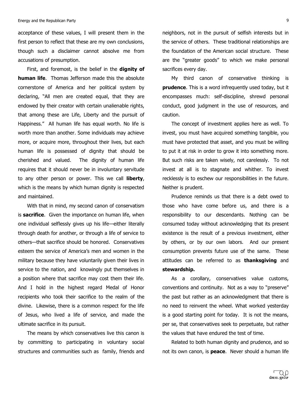acceptance of these values, I will present them in the first person to reflect that these are my own conclusions, though such a disclaimer cannot absolve me from accusations of presumption.

First, and foremost, is the belief in the **dignity of human life.** Thomas Jefferson made this the absolute cornerstone of America and her political system by declaring, "All men are created equal, that they are endowed by their creator with certain unalienable rights, that among these are Life, Liberty and the pursuit of Happiness." All human life has equal worth. No life is worth more than another. Some individuals may achieve more, or acquire more, throughout their lives, but each human life is possessed of dignity that should be cherished and valued. The dignity of human life requires that it should never be in involuntary servitude to any other person or power. This we call **liberty**, which is the means by which human dignity is respected and maintained.

With that in mind, my second canon of conservatism is **sacrifice**. Given the importance on human life, when one individual selflessly gives up his life-either literally through death for another, or through a life of service to others-that sacrifice should be honored. Conservatives esteem the service of America's men and women in the military because they have voluntarily given their lives in service to the nation, and knowingly put themselves in a position where that sacrifice may cost them their life. And I hold in the highest regard Medal of Honor recipients who took their sacrifice to the realm of the divine. Likewise, there is a common respect for the life of Jesus, who lived a life of service, and made the ultimate sacrifice in its pursuit.

The means by which conservatives live this canon is by committing to participating in voluntary social structures and communities such as family, friends and

neighbors, not in the pursuit of selfish interests but in the service of others. These traditional relationships are the foundation of the American social structure. These are the "greater goods" to which we make personal sacrifices every day.

My third canon of conservative thinking is **prudence**. This is a word infrequently used today, but it encompasses much: self-discipline, shrewd personal conduct, good judgment in the use of resources, and caution.

The concept of investment applies here as well. To invest, you must have acquired something tangible, you must have protected that asset, and you must be willing to put it at risk in order to grow it into something more. But such risks are taken wisely, not carelessly. To not invest at all is to stagnate and whither. To invest recklessly is to eschew our responsibilities in the future. Neither is prudent.

Prudence reminds us that there is a debt owed to those' who' have' come' before' us, and' there is' a' responsibility to our descendants. Nothing can be consumed today without acknowledging that its present existence is the result of a previous investment, either by others, or by our own labors. And our present consumption prevents future use of the same. These attitudes' can' be' referred' to' as' **thanksgiving** and' **stewardship.**

As a corollary, conservatives value customs, conventions and continuity. Not as a way to "preserve" the past but rather as an acknowledgment that there is no need to reinvent the wheel. What worked yesterday is a good starting point for today. It is not the means, per se, that conservatives seek to perpetuate, but rather the values that have endured the test of time.

Related to both human dignity and prudence, and so not its own canon, is **peace**. Never should a human life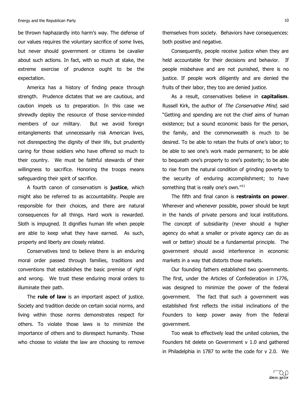be thrown haphazardly into harm's way. The defense of our'values requires the voluntary sacrifice of some lives, but never should government or citizens be cavalier about such actions. In fact, with so much at stake, the extreme exercise of prudence ought to be the expectation.

America has a history of finding peace through strength. Prudence dictates that we are cautious, and caution impels us to preparation. In this case we shrewdly deploy the resource of those service-minded members of our military. But we avoid foreign entanglements that unnecessarily risk American lives, not disrespecting the dignity of their life, but prudently caring for those soldiers who have offered so much to their country. We must be faithful stewards of their willingness to sacrifice. Honoring the troops means safeguarding their spirit of sacrifice.

A fourth canon of conservatism is justice, which might also be referred to as accountability. People are responsible for their choices, and there are natural consequences for all things. Hard work is rewarded. Sloth is impugned. It dignifies human life when people are able to keep what they have earned. As such, property and liberty are closely related.

Conservatives tend to believe there is an enduring moral order passed through families, traditions and conventions that establishes the basic premise of right and wrong. We trust these enduring moral orders to illuminate their path.

The **rule of law** is an important aspect of justice. Society and tradition decide on certain social norms, and living within those norms demonstrates respect for others. To violate those laws is to minimize the importance of others and to disrespect humanity. Those who choose to violate the law are choosing to remove themselves from society. Behaviors have consequences: both positive and negative.

Consequently, people receive justice when they are held accountable for their decisions and behavior. If people misbehave and are not punished, there is no justice. If people work diligently and are denied the fruits of their labor, they too are denied justice.

As a result, conservatives believe in **capitalism**. Russell Kirk, the author of The Conservative Mind, said "Getting and spending are not the chief aims of human existence; but a sound economic basis for the person, the family, and the commonwealth is much to be desired. To be able to retain the fruits of one's labor; to be able to see one's work made permanent; to be able to bequeath one's property to one's posterity; to be able to rise from the natural condition of grinding poverty to the security of enduring accomplishment; to have something that is really one's own." $^{11}$ 

The fifth and final canon is **restraints on power**. Wherever and whenever possible, power should be kept in the hands of private persons and local institutions. The concept of subsidiarity (never should a higher agency do what a smaller or private agency can do as well or better) should be a fundamental principle. The government' should' avoid' interference' in' economic' markets in a way that distorts those markets.

Our founding fathers established two governments. The first, under the Articles of Confederation in 1776, was designed to minimize the power of the federal government. The fact that such a government was established first reflects the initial inclinations of the Founders to keep power away from the federal government.

Too weak to effectively lead the united colonies, the Founders hit delete on Government  $v$  1.0 and gathered in Philadelphia in 1787 to write the code for  $v$  2.0. We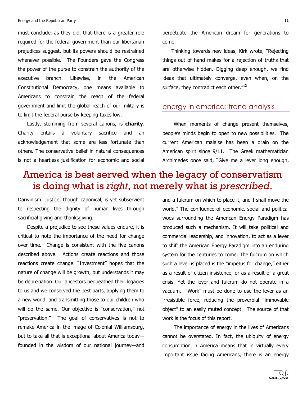must conclude, as they did, that there is a greater role required for the federal government than our libertarian prejudices suggest, but its powers should be restrained whenever possible. The Founders gave the Congress' the power of the purse to constrain the authority of the executive branch. Likewise, in the American Constitutional Democracy, one means available to Americans to constrain the reach of the federal government and limit the global reach of our military is to limit the federal purse by keeping taxes low.

Lastly, stemming from several canons, is **charity**. Charity entails a voluntary sacrifice and an acknowledgement that some are less fortunate than others. The conservative belief in natural consequences is not a heartless justification for economic and social

perpetuate the American dream for generations to come.

Thinking towards new ideas, Kirk wrote, "Rejecting things out of hand makes for a rejection of truths that are otherwise hidden. Digging deep enough, we find ideas that ultimately converge, even when, on the surface, they contradict each other."<sup>12</sup>

### energy in america: trend analysis

When moments of change present themselves, people's minds begin to open to new possibilities. The current' American' malaise' has' been' a' drain' on' the' American spirit since 9/11. The Greek mathematician Archimedes once said, "Give me a lever long enough,

# America is best served when the legacy of conservatism is doing what is *right*, not merely what is *prescribed*.

Darwinism. Justice, though canonical, is yet subservient to respecting the dignity of human lives through sacrificial giving and thanksgiving.

Despite a prejudice to see these values endure, it is critical to note the importance of the need for change over time. Change is consistent with the five canons described above. Actions create reactions and those reactions create change. "Investment" hopes that the nature of change will be growth, but understands it may be depreciation. Our ancestors bequeathed their legacies to us and we conserved the best parts, applying them to a new world, and transmitting those to our children who will do the same. Our objective is "conservation," not "preservation." The goal of conservatives is not to remake America in the image of Colonial Williamsburg, but to take all that is exceptional about America today founded in the wisdom of our national journey-and

and a fulcrum on which to place it, and I shall move the world." The confluence of economic, social and political woes surrounding the American Energy Paradigm has produced such a mechanism. It will take political and commercial leadership, and innovation, to act as a lever to shift the American Energy Paradigm into an enduring system for the centuries to come. The fulcrum on which such a lever is placed is the "impetus for change," either as a result of citizen insistence, or as a result of a great crisis. Yet the lever and fulcrum do not operate in a vacuum. "Work" must be done to use the lever as an irresistible force, reducing the proverbial "immovable object" to an easily muted concept. The source of that work is the focus of this report.

The importance of energy in the lives of Americans cannot be overstated. In fact, the ubiquity of energy consumption in America means that in virtually every important issue facing Americans, there is an energy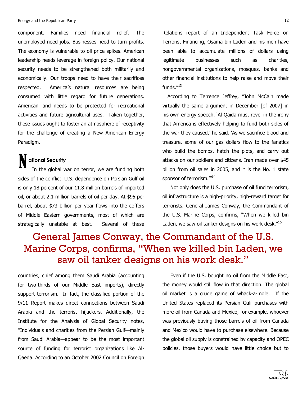component. Families need financial relief. The unemployed need jobs. Businesses need to turn profits. The economy is vulnerable to oil price spikes. American leadership needs leverage in foreign policy. Our national security needs to be strengthened both militarily and economically. Our troops need to have their sacrifices respected. America's natural resources are being consumed with little regard for future generations. American land needs to be protected for recreational activities and future agricultural uses. Taken together, these issues ought to foster an atmosphere of receptivity for the challenge of creating a New American Energy Paradigm.

# **!!!!!!!ational Security** N

In the global war on terror, we are funding both sides of the conflict. U.S. dependence on Persian Gulf oil is only 18 percent of our 11.8 million barrels of imported oil, or about 2.1 million barrels of oil per day. At \$95 per barrel, about \$73 billion per year flows into the coffers of Middle Eastern governments, most of which are strategically unstable at best. Several of these

Relations report of an Independent Task Force on Terrorist Financing, Osama bin Laden and his men have been able to accumulate millions of dollars using legitimate businesses such as charities, nongovernmental organizations, mosques, banks and other financial institutions to help raise and move their funds. $^{\prime\prime13}$ 

According to Terrence Jeffrey, "John McCain made virtually the same argument in December [of 2007] in his own energy speech. 'Al-Qaida must revel in the irony that America is effectively helping to fund both sides of the war they caused,' he said. 'As we sacrifice blood and treasure, some of our gas dollars flow to the fanatics who build the bombs, hatch the plots, and carry out attacks on our soldiers and citizens. Iran made over \$45 billion from oil sales in 2005, and it is the No. 1 state sponsor of terrorism."<sup>14</sup>

Not only does the U.S. purchase of oil fund terrorism, oil infrastructure is a high-priority, high-reward target for terrorists. General James Conway, the Commandant of the U.S. Marine Corps, confirms, "When we killed bin Laden, we saw oil tanker designs on his work desk. $"15$ 

# General James Conway, the Commandant of the U.S. Marine Corps, confirms, "When we killed bin Laden, we saw oil tanker designs on his work desk."

countries, chief among them Saudi Arabia (accounting) for two-thirds of our Middle East imports), directly support terrorism. In fact, the classified portion of the 9/11 Report makes direct connections between Saudi Arabia and the terrorist hijackers. Additionally, the Institute for the Analysis of Global Security notes, "Individuals and charities from the Persian Gulf-mainly from Saudi Arabia-appear to be the most important source of funding for terrorist organizations like Al-Qaeda. According to an October 2002 Council on Foreign

Even if the U.S. bought no oil from the Middle East, the money would still flow in that direction. The global oil market is a crude game of whack-a-mole. If the United States replaced its Persian Gulf purchases with more oil from Canada and Mexico, for example, whoever was previously buying those barrels of oil from Canada and Mexico would have to purchase elsewhere. Because the global oil supply is constrained by capacity and OPEC policies, those buyers would have little choice but to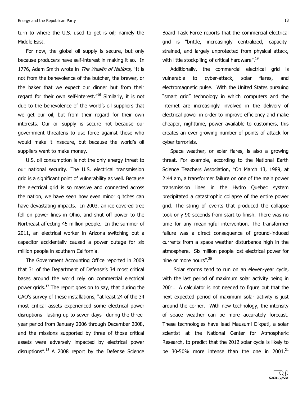turn to where the U.S. used to get is oil; namely the Middle East.

For now, the global oil supply is secure, but only because producers have self-interest in making it so. In 1776, Adam Smith wrote in The Wealth of Nations, "It is not from the benevolence of the butcher, the brewer, or the baker that we expect our dinner but from their regard for their own self-interest. $^{\prime\prime 16}$  Similarly, it is not due to the benevolence of the world's oil suppliers that we get our oil, but from their regard for their own interests. Our oil supply is secure not because our government threatens to use force against those who would make it insecure, but because the world's oil suppliers want to make money.

U.S. oil consumption is not the only energy threat to our national security. The U.S. electrical transmission grid is a significant point of vulnerability as well. Because the electrical grid is so massive and connected across the nation, we have seen how even minor glitches can have devastating impacts. In 2003, an ice-covered tree fell on power lines in Ohio, and shut off power to the Northeast affecting 45 million people. In the summer of 2011, an electrical worker in Arizona switching out a capacitor accidentally caused a power outage for six million people in southern California.

The Government Accounting Office reported in 2009 that 31 of the Department of Defense's 34 most critical bases around the world rely on commercial electrical power grids.<sup>17</sup> The report goes on to say, that during the GAO's survey of these installations, "at least 24 of the 34 most critical assets experienced some electrical power disruptions-lasting up to seven days-during the threeyear period from January 2006 through December 2008, and the missions supported by three of those critical assets were adversely impacted by electrical power disruptions". $^{18}$  A 2008 report by the Defense Science

Board Task Force reports that the commercial electrical grid is "brittle, increasingly centralized, capacitystrained, and largely unprotected from physical attack, with little stockpiling of critical hardware".<sup>19</sup>

Additionally, the commercial electrical grid is vulnerable to cyber-attack, solar flares, and electromagnetic pulse. With the United States pursuing "smart grid" technology in which computers and the internet are increasingly involved in the delivery of electrical power in order to improve efficiency and make cheaper, nighttime, power available to customers, this creates an ever growing number of points of attack for cyber terrorists.

Space weather, or solar flares, is also a growing threat. For example, according to the National Earth Science Teachers Association, "On March 13, 1989, at 2:44 am, a transformer failure on one of the main power transmission lines in the Hydro Quebec system precipitated a catastrophic collapse of the entire power grid. The string of events that produced the collapse took only 90 seconds from start to finish. There was no time for any meaningful intervention. The transformer failure was a direct consequence of ground-induced currents from a space weather disturbance high in the atmosphere. Six million people lost electrical power for nine or more hours".<sup>20</sup>

Solar storms tend to run on an eleven-year cycle, with the last period of maximum solar activity being in 2001. A calculator is not needed to figure out that the next expected period of maximum solar activity is just around the corner. With new technology, the intensity of space weather can be more accurately forecast. These technologies have lead Mausumi Dikpati, a solar scientist at the National Center for Atmospheric Research, to predict that the 2012 solar cycle is likely to be 30-50% more intense than the one in 2001. $^{21}$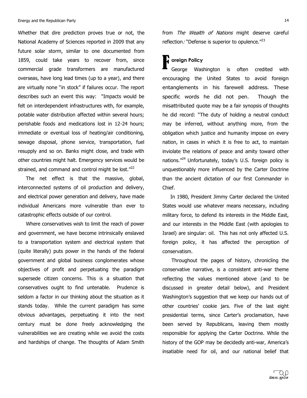Whether that dire prediction proves true or not, the National Academy of Sciences reported in 2009 that any future solar storm, similar to one documented from 1859, could take years to recover from, since commercial' grade' transformers' are' manufactured' overseas, have long lead times (up to a year), and there are virtually none "in stock" if failures occur. The report describes such an event this way: "Impacts would be felt on interdependent infrastructures with, for example, potable water distribution affected within several hours; perishable foods and medications lost in 12-24 hours; immediate or eventual loss of heating/air conditioning, sewage disposal, phone service, transportation, fuel resupply and so on. Banks might close, and trade with other countries might halt. Emergency services would be strained, and command and control might be lost."<sup>22</sup>

The net effect is that the massive, global, interconnected systems of oil production and delivery, and electrical power generation and delivery, have made individual Americans more vulnerable than ever to catastrophic effects outside of our control.

Where conservatives wish to limit the reach of power and government, we have become intrinsically enslaved to a transportation system and electrical system that (quite literally) puts power in the hands of the federal government and global business conglomerates whose objectives of profit and perpetuating the paradigm supersede citizen concerns. This is a situation that conservatives ought to find untenable. Prudence is seldom a factor in our thinking about the situation as it stands today. While the current paradigm has some obvious advantages, perpetuating it into the next century must be done freely acknowledging the vulnerabilities we are creating while we avoid the costs and hardships of change. The thoughts of Adam Smith

from The Wealth of Nations might deserve careful reflection.<sup>,</sup> "Defense is superior to opulence."<sup>23</sup>

# **1** oreign Policy<br>George Was

George Washington is often credited with encouraging the United States to avoid foreign entanglements in his farewell address. These specific words he did not pen. Though the misattributed quote may be a fair synopsis of thoughts he did record: "The duty of holding a neutral conduct may be inferred, without anything more, from the obligation which justice and humanity impose on every nation, in cases in which it is free to act, to maintain inviolate the relations of peace and amity toward other nations. $^{1/24}$  Unfortunately, today's U.S. foreign policy is unquestionably more influenced by the Carter Doctrine than the ancient dictation of our first Commander in Chief.

In 1980, President Jimmy Carter declared the United States would use whatever means necessary, including military force, to defend its interests in the Middle East, and our interests in the Middle East (with apologies to Israel) are singular: oil. This has not only affected U.S. foreign policy, it has affected the perception of conservatism.

Throughout the pages of history, chronicling the conservative narrative, is a consistent anti-war theme reflecting the values mentioned above (and to be discussed in greater detail below), and President Washington's suggestion that we keep our hands out of other countries' cookie jars. Five of the last eight presidential terms, since Carter's proclamation, have been served by Republicans, leaving them mostly responsible for applying the Carter Doctrine. While the history of the GOP may be decidedly anti-war, America's insatiable need for oil, and our national belief that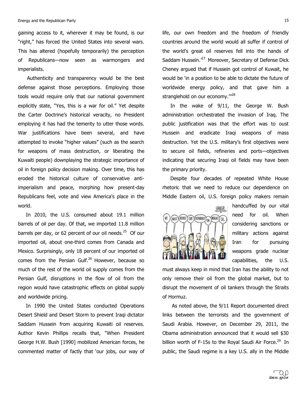gaining access to it, wherever it may be found, is our "right," has forced the United States into several wars. This has altered (hopefully temporarily) the perception of Republicans-now seen as warmongers and imperialists.

Authenticity and transparency would be the best defense against those perceptions. Employing those tools would require only that our national government explicitly state, "Yes, this is a war for oil." Yet despite the Carter Doctrine's historical veracity, no President employing it has had the temerity to utter those words. War justifications have been several, and have attempted to invoke "higher values" (such as the search for weapons of mass destruction, or liberating the Kuwaiti people) downplaying the strategic importance of oil in foreign policy decision making. Over time, this has eroded the historical culture of conservative antiimperialism and peace, morphing how present-day Republicans feel, vote and view America's place in the world.

In 2010, the U.S. consumed about 19.1 million barrels of oil per day. Of that, we imported 11.8 million barrels per day, or 62 percent of our oil needs.<sup>25</sup> Of our imported oil, about one-third comes from Canada and Mexico. Surprisingly, only 18 percent of our imported oil comes from the Persian Gulf.<sup>26</sup> However, because so much of the rest of the world oil supply comes from the Persian Gulf, disruptions in the flow of oil from the region would have catastrophic effects on global supply and worldwide pricing.

In 1990 the United States conducted Operations Desert Shield and Desert Storm to prevent Iraqi dictator Saddam Hussein from acquiring Kuwaiti oil reserves. Author Kevin Phillips recalls that, "When President George H.W. Bush [1990] mobilized American forces, he commented matter of factly that 'our jobs, our way of life, our own freedom and the freedom of friendly countries around the world would all suffer if control of the world's great oil reserves fell into the hands of Saddam Hussein.<sup>,27</sup> Moreover, Secretary of Defense Dick Cheney argued that if Hussein got control of Kuwait, he would be 'in a position to be able to dictate the future of worldwide energy policy, and that gave him a stranglehold on our economy.'"<sup>28</sup>

In the wake of 9/11, the George W. Bush administration orchestrated the invasion of Iraq. The public justification was that the effort was to oust Hussein and eradicate Iraqi weapons of mass destruction. Yet the U.S. military's first objectives were to secure oil fields, refineries and ports-objectives indicating that securing Iraqi oil fields may have been the primary priority.

Despite four decades of repeated White House rhetoric that we need to reduce our dependence on Middle Eastern oil, U.S. foreign policy makers remain



handcuffed by our vital need for oil. When considering sanctions or military actions against Iran for pursuing weapons grade nuclear capabilities, the U.S.

must always keep in mind that Iran has the ability to not only remove their oil from the global market, but to disrupt the movement of oil tankers through the Straits of Hormuz.

As noted above, the 9/11 Report documented direct links between the terrorists and the government of Saudi Arabia. However, on December 29, 2011, the Obama administration announced that it would sell \$30 billion worth of F-15s to the Royal Saudi Air Force.<sup>29</sup> In public, the Saudi regime is a key U.S. ally in the Middle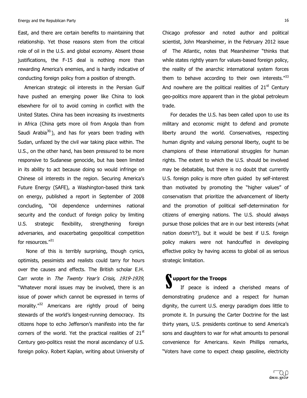East, and there are certain benefits to maintaining that relationship. Yet those reasons stem from the critical role of oil in the U.S. and global economy. Absent those justifications, the F-15 deal is nothing more than rewarding America's enemies, and is hardly indicative of conducting foreign policy from a position of strength.

American strategic oil interests in the Persian Gulf have pushed an emerging power like China to look elsewhere for oil to avoid coming in conflict with the United States. China has been increasing its investments in Africa (China gets more oil from Angola than from Saudi Arabia $30$ <sup>30</sup>.), and has for years been trading with Sudan, unfazed by the civil war taking place within. The U.S., on the other hand, has been pressured to be more responsive to Sudanese genocide, but has been limited in its ability to act because doing so would infringe on Chinese oil interests in the region. Securing America's Future Energy (SAFE), a Washington-based think tank on energy, published a report in September of 2008 concluding, "Oil dependence undermines national security and the conduct of foreign policy by limiting U.S. strategic flexibility, strengthening foreign adversaries, and exacerbating geopolitical competition for resources."31

None of this is terribly surprising, though cynics, optimists, pessimists and realists could tarry for hours over the causes and effects. The British scholar E.H. Carr wrote in The Twenty Year's Crisis, 1919-1939, "Whatever moral issues may be involved, there is an issue of power which cannot be expressed in terms of morality. $\frac{m}{32}$  Americans are rightly proud of being stewards of the world's longest-running democracy. Its citizens hope to echo Jefferson's manifesto into the far corners of the world. Yet the practical realities of  $21<sup>st</sup>$ Century geo-politics resist the moral ascendancy of U.S. foreign policy. Robert Kaplan, writing about University of

Chicago professor and noted author and political scientist, John Mearsheimer, in the February 2012 issue of The Atlantic, notes that Mearsheimer "thinks that while states rightly yearn for values-based foreign policy, the reality of the anarchic international system forces them to behave according to their own interests. $133$ And nowhere are the political realities of  $21<sup>st</sup>$  Century' geo-politics more apparent than in the global petroleum trade.

For decades the U.S. has been called upon to use its military and economic might to defend and promote liberty around the world. Conservatives, respecting human'dignity and valuing personal liberty, ought to be champions of these international struggles for human rights. The extent to which the U.S. should be involved may be debatable, but there is no doubt that currently U.S. foreign policy is more often quided by self-interest than motivated by promoting the "higher values" of conservatism that prioritize the advancement of liberty and the promotion of political self-determination for citizens of emerging nations. The U.S. should always pursue those policies that are in our best interests (what nation doesn't?), but it would be best if U.S. foreign policy makers were not handcuffed in developing effective policy by having access to global oil as serious strategic limitation.

**S** upport for the Troops<br>
If peace is indeed If peace is indeed a cherished means of demonstrating prudence and a respect for human dignity, the current U.S. energy paradigm does little to promote it. In pursuing the Carter Doctrine for the last thirty years, U.S. presidents continue to send America's sons and daughters to war for what amounts to personal convenience for Americans. Kevin Phillips remarks, "Voters have come to expect cheap gasoline, electricity

**CREXEL PROU**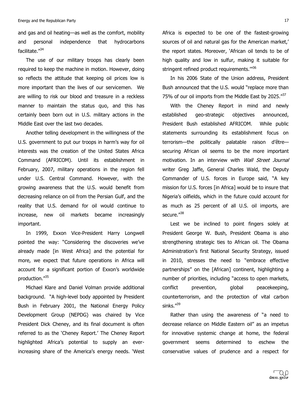and gas and oil heating—as well as the comfort, mobility and personal independence that hydrocarbons facilitate."<sup>34</sup>

The use of our military troops has clearly been required to keep the machine in motion. However, doing so reflects the attitude that keeping oil prices low is more important than the lives of our servicemen. We are willing to risk our blood and treasure in a reckless manner to maintain the status quo, and this has certainly been born out in U.S. military actions in the Middle East over the last two decades.

Another telling development in the willingness of the U.S. government to put our troops in harm's way for oil interests was the creation of the United States Africa Command (AFRICOM). Until its establishment in February, 2007, military operations in the region fell under U.S. Central Command. However, with the growing awareness that the U.S. would benefit from decreasing reliance on oil from the Persian Gulf, and the reality that U.S. demand for oil would continue to increase, new oil markets became increasingly important.

In 1999, Exxon Vice-President Harry Longwell pointed the way: "Considering the discoveries we've already made [in West Africa] and the potential for more, we expect that future operations in Africa will account for a significant portion of Exxon's worldwide production."35

Michael Klare and Daniel Volman provide additional background. "A high-level body appointed by President Bush in February 2001, the National Energy Policy Development Group (NEPDG) was chaired by Vice President Dick Cheney, and its final document is often referred to as the 'Cheney Report.' The Cheney Report highlighted Africa's potential to supply an everincreasing share of the America's energy needs. 'West

Africa is expected to be one of the fastest-growing sources of oil and natural gas for the American market,' the report states. Moreover, 'African oil tends to be of high quality and low in sulfur, making it suitable for stringent refined product requirements."<sup>36</sup>

In his 2006 State of the Union address, President Bush announced that the U.S. would "replace more than 75% of our oil imports from the Middle East by 2025. $137$ 

With the Cheney Report in mind and newly established geo-strategic objectives announced, President Bush established AFRICOM. While public statements surrounding its establishment focus on terrorism—the politically palatable raison d'être securing African oil seems to be the more important motivation. In an interview with Wall Street Journal writer Greg Jaffe, General Charles Wald, the Deputy Commander of U.S. forces in Europe said, "A key mission for U.S. forces [in Africa] would be to insure that Nigeria's oilfields, which in the future could account for as much as 25 percent of all U.S. oil imports, are secure."38

Lest we be inclined to point fingers solely at President George W. Bush, President Obama is also strengthening strategic ties to African oil. The Obama Administration's first National Security Strategy, issued in 2010, stresses the need to "embrace effective partnerships" on the [African] continent, highlighting a number of priorities, including "access to open markets, conflict prevention, global peacekeeping, counterterrorism, and the protection of vital carbon sinks."<sup>39</sup>

Rather than using the awareness of "a need to decrease reliance on Middle Eastern oil" as an impetus for innovative systemic change at home, the federal government' seems' determined' to' eschew' the' conservative values of prudence and a respect for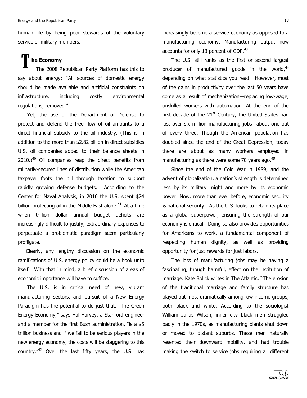human life by being poor stewards of the voluntary service of military members.

# **The Economy**<br>The 2008 R

The 2008 Republican Party Platform has this to say about energy: "All sources of domestic energy should be made available and artificial constraints on infrastructure, including costly environmental regulations, removed."

Yet, the use of the Department of Defense to protect and defend the free flow of oil amounts to a direct financial subsidy to the oil industry. (This is in addition to the more than \$2.82 billion in direct subsidies U.S. oil companies added to their balance sheets in  $2010.$ )<sup>40</sup> Oil companies reap the direct benefits from militarily-secured lines of distribution while the American taxpayer foots the bill through taxation to support rapidly growing defense budgets. According to the Center for Naval Analysis, in 2010 the U.S. spent \$74 billion protecting oil in the Middle East alone.<sup>41</sup> At a time when trillion dollar annual budget deficits are increasingly difficult to justify, extraordinary expenses to perpetuate a problematic paradigm seem particularly profligate.

Clearly, any lengthy discussion on the economic ramifications of U.S. energy policy could be a book unto itself. With that in mind, a brief discussion of areas of economic importance will have to suffice.

The U.S. is in critical need of new, vibrant manufacturing sectors, and pursuit of a New Energy Paradigm has the potential to do just that. "The Green' Energy Economy," says Hal Harvey, a Stanford engineer and a member for the first Bush administration, "is a \$5 trillion business and if we fail to be serious players in the new energy economy, the costs will be staggering to this country. $142$  Over the last fifty years, the U.S. has increasingly become a service-economy as opposed to a manufacturing economy. Manufacturing output now accounts for only 13 percent of GDP.<sup>43</sup>

The U.S. still ranks as the first or second largest producer of manufactured goods in the world,<sup>44</sup> depending on what statistics you read. However, most of the gains in productivity over the last 50 years have come as a result of mechanization—replacing low-wage, unskilled workers with automation. At the end of the first decade of the  $21<sup>st</sup>$  Century, the United States had lost over six million manufacturing jobs-about one out of every three. Though the American population has doubled since the end of the Great Depression, today there are about as many workers employed in manufacturing as there were some  $70$  years ago.<sup>45</sup>

Since the end of the Cold War in 1989, and the advent of globalization, a nation's strength is determined less by its military might and more by its economic power. Now, more than ever before, economic security  $is$  national security. As the U.S. looks to retain its place as a global superpower, ensuring the strength of our economy is critical. Doing so also provides opportunities for Americans to work, a fundamental component of respecting human dignity, as well as providing opportunity for just rewards for just labors.

The loss of manufacturing jobs may be having a fascinating, though harmful, effect on the institution of marriage. Kate Bolick writes in The Atlantic, "The erosion of the traditional marriage and family structure has played out most dramatically among low income groups, both black and white. According to the sociologist William Julius Wilson, inner city black men struggled badly in the 1970s, as manufacturing plants shut down or' moved' to' distant' suburbs.' These' men' naturally' resented their downward mobility, and had trouble making the switch to service jobs requiring a different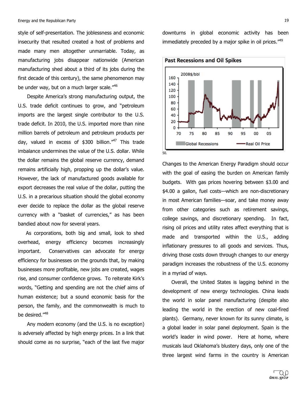style of self-presentation. The joblessness and economic insecurity that resulted created a host of problems and made many men altogether unmarriable. Today, as manufacturing jobs disappear nationwide (American manufacturing shed about a third of its jobs during the first decade of this century), the same phenomenon may be under way, but on a much larger scale."<sup>46</sup>

Despite America's strong manufacturing output, the U.S. trade deficit continues to grow, and "petroleum imports are the largest single contributor to the U.S. trade deficit. In 2010, the U.S. imported more than nine million barrels of petroleum and petroleum products per day, valued in excess of \$300 billion.<sup>"47</sup> This trade imbalance undermines the value of the U.S. dollar. While the dollar remains the global reserve currency, demand remains artificially high, propping up the dollar's value. However, the lack of manufactured goods available for export decreases the real value of the dollar, putting the U.S. in a precarious situation should the global economy ever decide to replace the dollar as the global reserve currency with a "basket of currencies," as has been bandied about now for several years.

As corporations, both big and small, look to shed overhead, energy efficiency becomes increasingly important. Conservatives can advocate for energy efficiency for businesses on the grounds that, by making businesses more profitable, new jobs are created, wages rise, and consumer confidence grows. To reiterate Kirk's words, "Getting and spending are not the chief aims of human existence; but a sound economic basis for the person, the family, and the commonwealth is much to be desired."<sup>48</sup>

Any modern economy (and the U.S. is no exception) is adversely affected by high energy prices. In a link that should come as no surprise, "each of the last five major

downturns in global economic activity has been immediately preceded by a major spike in oil prices."<sup>49</sup>



Changes to the American Energy Paradigm should occur with the goal of easing the burden on American family budgets. With gas prices hovering between \$3.00 and \$4.00 a gallon, fuel costs—which are non-discretionary in most American families-soar, and take money away from other categories such as retirement savings, college savings, and discretionary spending. In fact, rising oil prices and utility rates affect everything that is made and transported within the U.S., adding inflationary pressures to all goods and services. Thus, driving those costs down through changes to our energy paradigm increases the robustness of the U.S. economy in a myriad of ways.

Overall, the United States is lagging behind in the development of new energy technologies. China leads the world in solar panel manufacturing (despite also leading the world in the erection of new coal-fired plants). Germany, never known for its sunny climate, is a global leader in solar panel deployment. Spain is the world's leader in wind power. Here at home, where musicals laud Oklahoma's blustery days, only one of the three largest wind farms in the country is American

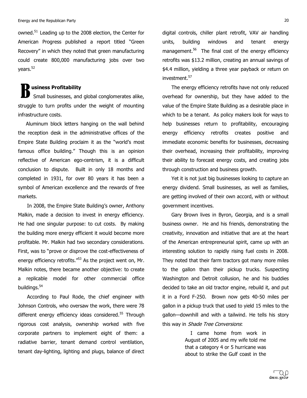owned. $51$  Leading up to the 2008 election, the Center for American Progress published a report titled "Green' Recovery" in which they noted that green manufacturing could' create' 800,000' manufacturing' jobs' over' two' years.<sup>52</sup>

#### **usiness Profitability**

Small businesses, and global conglomerates alike, struggle to turn profits under the weight of mounting infrastructure costs. B

Aluminum block letters hanging on the wall behind the reception desk in the administrative offices of the Empire State Building proclaim it as the "world's most famous office building." Though this is an opinion reflective of American ego-centrism, it is a difficult conclusion to dispute. Built in only 18 months and completed in 1931, for over 80 years it has been a symbol of American excellence and the rewards of free markets.

In 2008, the Empire State Building's owner, Anthony Malkin, made a decision to invest in energy efficiency. He had one singular purpose: to cut costs. By making the building more energy efficient it would become more profitable. Mr. Malkin had two secondary considerations. First, was to "prove or disprove the cost-effectiveness of energy efficiency retrofits."<sup>53</sup> As the project went on, Mr. Malkin notes, there became another objective: to create a replicable model for other commercial office buildings.<sup>54</sup>

According to Paul Rode, the chief engineer with Johnson Controls, who oversaw the work, there were 78 different energy efficiency ideas considered.<sup>55</sup> Through rigorous cost analysis, ownership worked with five corporate partners to implement eight of them: a radiative barrier, tenant demand control ventilation, tenant day-lighting, lighting and plugs, balance of direct

digital controls, chiller plant retrofit, VAV air handling units, building windows and tenant energy management.<sup>56</sup> The final cost of the energy efficiency retrofits was \$13.2 million, creating an annual savings of \$4.4 million, yielding a three year payback or return on investment.<sup>57</sup>

The energy efficiency retrofits have not only reduced overhead for ownership, but they have added to the value of the Empire State Building as a desirable place in which to be a tenant. As policy makers look for ways to help businesses return to profitability, encouraging energy efficiency retrofits creates positive and immediate economic benefits for businesses, decreasing their overhead, increasing their profitability, improving their ability to forecast energy costs, and creating jobs through construction and business growth.

Yet it is not just big businesses looking to capture an energy dividend. Small businesses, as well as families, are getting involved of their own accord, with or without government incentives.

Gary Brown lives in Byron, Georgia, and is a small business owner. He and his friends, demonstrating the creativity, innovation and initiative that are at the heart of the American entrepreneurial spirit, came up with an interesting solution to rapidly rising fuel costs in 2008. They noted that their farm tractors got many more miles to the gallon than their pickup trucks. Suspecting Washington and Detroit collusion, he and his buddies decided to take an old tractor engine, rebuild it, and put it in a Ford F-250. Brown now gets 40-50 miles per gallon in a pickup truck that used to yield 15 miles to the qallon-downhill and with a tailwind. He tells his story this way in Shade Tree Conversions:

> I came home from work in August of 2005 and my wife told me that a category 4 or 5 hurricane was about to strike the Gulf coast in the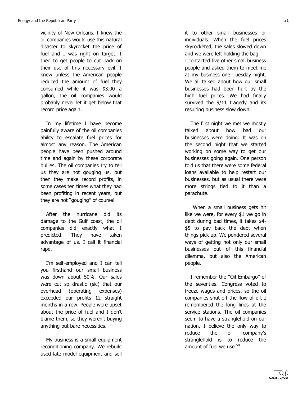vicinity of New Orleans. I knew the oil companies would use this natural disaster to skyrocket the price of fuel and I was right on target. I tried to get people to cut back on their use of this necessary evil. I knew unless the American people reduced the amount of fuel they consumed while it was \$3.00 a gallon, the oil companies would probably never let it get below that record price again.

In my lifetime I have become painfully aware of the oil companies ability to escalate fuel prices for almost any reason. The American people have been pushed around time and again by these corporate bullies. The oil companies try to tell us they are not gouging us, but then they make record profits, in some cases ten times what they had been profiting in recent years, but they are not "gouging" of course!

After the hurricane did its damage to the Gulf coast, the oil companies did exactly what I predicted. They have taken advantage of us. I call it financial rape.

I'm self-employed and I can tell you firsthand our small business was down about 50%. Our sales were cut so drastic (sic) that our overhead (operating expenses) exceeded our profits 12 straight months in a row. People were upset about the price of fuel and I don't blame them, so they weren't buying anything but bare necessities.

My business is a small equipment reconditioning company. We rebuild used late model equipment and sell

it to other small businesses or individuals. When the fuel prices skyrocketed, the sales slowed down and we were left holding the bag. I contacted five other small business people and asked them to meet me at my business one Tuesday night. We all talked about how our small businesses had been hurt by the high fuel prices. We had finally survived the 9/11 tragedy and its resulting business slow down.

The first night we met we mostly talked' about' how' bad' our' businesses were doing. It was on the second night that we started working on some way to get our businesses going again. One person told us that there were some federal loans available to help restart our businesses, but as usual there were more strings tied to it than a parachute.

When a small business gets hit like we were, for every  $$1$  we go in debt during bad times, it takes \$4-\$5 to pay back the debt when things pick up. We pondered several ways of getting not only our small businesses out of this financial dilemma, but also the American people.

I remember the "Oil Embargo" of the seventies. Congress voted to freeze wages and prices, so the oil companies shut off the flow of oil. I remembered the long lines at the service stations. The oil companies seem to have a stranglehold on our nation. I believe the only way to reduce the oil company's stranglehold is to reduce the amount of fuel we use.<sup>58</sup>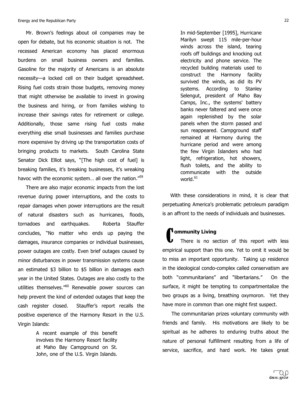Mr. Brown's feelings about oil companies may be open for debate, but his economic situation is not. The recessed American economy has placed enormous burdens on small business owners and families. Gasoline for the majority of Americans is an absolute necessity-a locked cell on their budget spreadsheet. Rising fuel costs strain those budgets, removing money that might otherwise be available to invest in growing the business and hiring, or from families wishing to increase their savings rates for retirement or college. Additionally, those same rising fuel costs make everything else small businesses and families purchase more expensive by driving up the transportation costs of bringing products to markets. South Carolina State Senator Dick Elliot says, "[The high cost of fuel] is breaking families, it's breaking businesses, it's wreaking havoc with the economic system... all over the nation."<sup>59</sup>

There are also major economic impacts from the lost revenue during power interruptions, and the costs to repair damages when power interruptions are the result of natural disasters such as hurricanes, floods, tornadoes and earthquakes. Roberta Stauffer concludes, "No matter who ends up paying the damages, insurance companies or individual businesses, power outages are costly. Even brief outages caused by minor disturbances in power transmission systems cause an estimated \$3 billion to \$5 billion in damages each year in the United States. Outages are also costly to the utilities themselves.<sup>"60</sup> Renewable power sources can help prevent the kind of extended outages that keep the cash register closed. Stauffer's report recalls the positive experience of the Harmony Resort in the U.S. Virgin Islands:

> A recent example of this benefit involves the Harmony Resort facility at Maho Bay Campground on St. John, one of the U.S. Virgin Islands.

In mid-September [1995], Hurricane Marilyn swept 115 mile-per-hour winds across the island, tearing roofs off buildings and knocking out electricity and phone service. The recycled building materials used to construct the Harmony facility survived the winds, as did its PV systems. According to Stanley Selengut, president of Maho Bay Camps, Inc., the systems' battery banks never faltered and were once again replenished by the solar panels when the storm passed and sun reappeared. Campground staff remained at Harmony during the hurricane period and were among the few Virgin Islanders who had light, refrigeration, hot showers, flush toilets, and the ability to communicate with the outside world. $^{61}$ 

With these considerations in mind, it is clear that perpetuating America's problematic petroleum paradigm is an affront to the needs of individuals and businesses.

**Community Living**<br>
There is no se There is no section of this report with less empirical support than this one. Yet to omit it would be to miss an important opportunity. Taking up residence in the ideological condo-complex called conservatism are both "communitarians" and "libertarians." On the surface, it might be tempting to compartmentalize the two groups as a living, breathing oxymoron. Yet they have more in common than one might first suspect.

The communitarian prizes voluntary community with friends and family. His motivations are likely to be spiritual as he adheres to enduring truths about the nature of personal fulfillment resulting from a life of service, sacrifice, and hard work. He takes great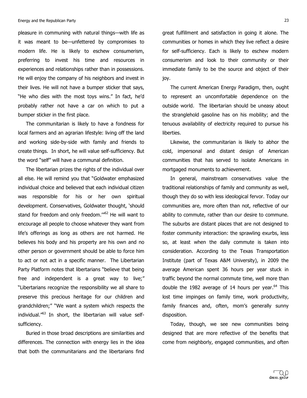pleasure in communing with natural things—with life as it was meant to be-unfettered by compromises to modern life. He is likely to eschew consumerism, preferring to invest his time and resources in experiences and relationships rather than in possessions. He will enjoy the company of his neighbors and invest in their lives. He will not have a bumper sticker that says, "He who dies with the most toys wins." In fact, he'd probably rather not have a car on which to put a bumper sticker in the first place.

The communitarian is likely to have a fondness for local farmers and an agrarian lifestyle: living off the land and working side-by-side with family and friends to create things. In short, he will value self-sufficiency. But the word "self" will have a communal definition.

The libertarian prizes the rights of the individual over all else. He will remind you that "Goldwater emphasized individual choice and believed that each individual citizen was responsible for his or her own spiritual development. Conservatives, Goldwater thought, 'should stand for freedom and only freedom." $62$  He will want to encourage all people to choose whatever they want from life's offerings as long as others are not harmed. He believes his body and his property are his own and no other person or government should be able to force him to act or not act in a specific manner. The Libertarian Party Platform notes that libertarians "believe that being free and independent is a great way to live;" "Libertarians recognize the responsibility we all share to preserve this precious heritage for our children and grandchildren;" "We want a system which respects the individual. $^{63}$  In short, the libertarian will value selfsufficiency.

Buried in those broad descriptions are similarities and differences. The connection with energy lies in the idea that both the communitarians and the libertarians find

great fulfillment and satisfaction in going it alone. The communities or homes in which they live reflect a desire for self-sufficiency. Each is likely to eschew modern consumerism and look to their community or their immediate family to be the source and object of their joy.

The current American Energy Paradigm, then, ought to' represent' an' uncomfortable' dependence' on' the' outside world. The libertarian should be uneasy about the stranglehold gasoline has on his mobility; and the tenuous availability of electricity required to pursue his liberties.

Likewise, the communitarian is likely to abhor the cold,' impersonal' and' distant' design' of' American' communities that has served to isolate Americans in mortgaged monuments to achievement.

In general, mainstream conservatives value the traditional relationships of family and community as well, though they do so with less ideological fervor. Today our communities are, more often than not, reflective of our ability to commute, rather than our desire to commune. The suburbs are distant places that are not designed to foster community interaction: the sprawling exurbs, less so, at least when the daily commute is taken into consideration. According to the Texas Transportation Institute (part of Texas A&M University), in 2009 the average American spent 36 hours per year stuck in traffic beyond the normal commute time, well more than double the 1982 average of 14 hours per year.<sup>64</sup> This lost time impinges on family time, work productivity, family finances and, often, mom's generally sunny disposition.

Today, though, we see new communities being designed that are more reflective of the benefits that come from neighborly, engaged communities, and often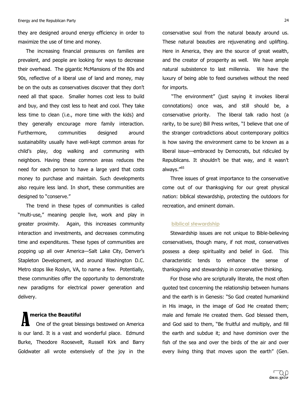they are designed around energy efficiency in order to maximize the use of time and money.

The increasing financial pressures on families are prevalent, and people are looking for ways to decrease their overhead. The gigantic McMansions of the 80s and 90s, reflective of a liberal use of land and money, may be on the outs as conservatives discover that they don't need all that space. Smaller homes cost less to build and buy, and they cost less to heat and cool. They take less time to clean (i.e., more time with the kids) and they generally encourage more family interaction. Furthermore, communities designed around sustainability usually have well-kept common areas for child's play, dog walking and communing with neighbors. Having these common areas reduces the need for each person to have a large yard that costs money to purchase and maintain. Such developments also require less land. In short, these communities are designed to "conserve."

The trend in these types of communities is called "multi-use," meaning people live, work and play in greater proximity. Again, this increases community interaction and investments, and decreases commuting time and expenditures. These types of communities are popping up all over America-Salt Lake City, Denver's Stapleton Development, and around Washington D.C. Metro stops like Roslyn, VA, to name a few. Potentially, these communities offer the opportunity to demonstrate new paradigms for electrical power generation and delivery.

#### **merica the Beautiful**

One of the great blessings bestowed on America is our land. It is a vast and wonderful place. Edmund Burke, Theodore Roosevelt, Russell Kirk and Barry Goldwater all wrote extensively of the joy in the A

conservative soul from the natural beauty around us. These natural beauties are rejuvenating and uplifting. Here in America, they are the source of great wealth, and the creator of prosperity as well. We have ample natural subsistence to last millennia. We have the luxury of being able to feed ourselves without the need for imports.

"The environment" (just saying it invokes liberal connotations) once was, and still should be, a conservative priority. The liberal talk radio host (a rarity, to be sure) Bill Press writes, "I believe that one of the stranger contradictions about contemporary politics is how saving the environment came to be known as a liberal issue—embraced by Democrats, but ridiculed by Republicans. It shouldn't be that way, and it wasn't always."<sup>65</sup>

Three issues of great importance to the conservative come out of our thanksgiving for our great physical nation: biblical stewardship, protecting the outdoors for recreation, and eminent domain.

#### **biblical stewardship**

Stewardship issues are not unique to Bible-believing conservatives, though many, if not most, conservatives possess a deep spirituality and belief in God. This characteristic' tends' to' enhance' the' sense' of' thanksgiving and stewardship in conservative thinking.

For those who are scripturally literate, the most often quoted text concerning the relationship between humans and the earth is in Genesis: "So God created humankind in His image, in the image of God He created them; male and female He created them. God blessed them, and God said to them, "Be fruitful and multiply, and fill the earth and subdue it; and have dominion over the fish of the sea and over the birds of the air and over every living thing that moves upon the earth" (Gen.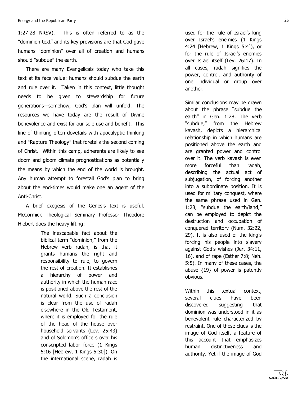1:27-28 NRSV). This is often referred to as the "dominion text" and its key provisions are that God gave humans "dominion" over all of creation and humans should "subdue" the earth.

There are many Evangelicals today who take this text at its face value: humans should subdue the earth and rule over it. Taken in this context, little thought needs to be given to stewardship for future generations—somehow, God's plan will unfold. The resources we have today are the result of Divine benevolence and exist for our sole use and benefit. This line of thinking often dovetails with apocalyptic thinking and "Rapture Theology" that foretells the second coming of Christ. Within this camp, adherents are likely to see doom and gloom climate prognostications as potentially the means by which the end of the world is brought. Any human attempt to forestall God's plan to bring about the end-times would make one an agent of the Anti-Christ.

A brief exegesis of the Genesis text is useful. McCormick Theological Seminary Professor Theodore Hiebert does the heavy lifting:

> The inescapable fact about the biblical term "dominion," from the Hebrew verb radah, is that it grants humans the right and responsibility to rule, to govern the rest of creation. It establishes a hierarchy of power and authority in which the human race is positioned above the rest of the natural world. Such a conclusion is clear from the use of radah elsewhere in the Old Testament, where it is employed for the rule of the head of the house over household servants (Lev. 25:43) and of Solomon's officers over his conscripted labor force (1 Kings) 5:16 [Hebrew, 1 Kings 5:30]). On the international scene, radah is

used for the rule of Israel's king over Israel's enemies (1 Kings 4:24 [Hebrew, 1 Kings 5:4]), or for the rule of Israel's enemies over Israel itself (Lev. 26:17). In all cases, radah signifies the power, control, and authority of one individual or group over another.

Similar conclusions may be drawn about the phrase "subdue the earth" in Gen. 1:28. The verb "subdue," from the Hebrew kavash, depicts a hierarchical relationship in which humans are positioned above the earth and are granted power and control over it. The verb kavash is even more forceful than radah, describing the actual act of subjugation, of forcing another into a subordinate position. It is used for military conquest, where the same phrase used in Gen. 1:28, "subdue the earth/land," can be employed to depict the destruction and occupation of conquered territory (Num. 32:22, 29). It is also used of the king's forcing his people into slavery against God's wishes (Jer. 34:11, 16), and of rape (Esther  $7:8$ ; Neh. 5:5). In many of these cases, the abuse  ${19}$  of power is patently obvious.

Within this textual context, several clues have been discovered suggesting that dominion was understood in it as benevolent rule characterized by restraint. One of these clues is the image of God itself, a feature of this account that emphasizes human distinctiveness and authority. Yet if the image of God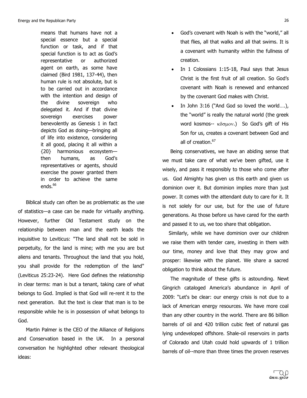means that humans have not a special essence but a special function or task, and if that special function is to act as God's representative or authorized agent on earth, as some have claimed (Bird 1981, 137-44), then human rule is not absolute, but is to be carried out in accordance with the intention and design of the divine sovereign who delegated it. And if that divine sovereign exercises power benevolently as Genesis 1 in fact depicts God as doing-bringing all of life into existence, considering it all good, placing it all within a {20} harmonious ecosystemthen humans, as God's representatives or agents, should exercise the power granted them in order to achieve the same ends. $66$ 

Biblical study can often be as problematic as the use of statistics-a case can be made for virtually anything. However, further Old Testament study on the relationship between man and the earth leads the inquisitive to Leviticus: "The land shall not be sold in perpetuity, for the land is mine; with me you are but aliens and tenants. Throughout the land that you hold, you shall provide for the redemption of the land" (Leviticus 25:23-24). Here God defines the relationship in clear terms: man is but a tenant, taking care of what belongs to God. Implied is that God will re-rent it to the next generation. But the text is clear that man is to be responsible while he is in possession of what belongs to God.

Martin Palmer is the CEO of the Alliance of Religions and Conservation based in the UK. In a personal conversation he highlighted other relevant theological ideas:

- God's covenant with Noah is with the "world," all that flies, all that walks and all that swims. It is a covenant with humanity within the fullness of creation.
- In 1 Colossians 1:15-18, Paul says that Jesus Christ is the first fruit of all creation. So God's covenant' with' Noah' is' renewed' and' enhanced' by the covenant God makes with Christ.
- In John  $3:16$  ("And God so loved the world....), the "world" is really the natural world (the greek) word kosmos-- κδσμον.) So God's gift of His Son for us, creates a covenant between God and all of creation.<sup>67</sup>

Being conservatives, we have an abiding sense that we must take care of what we've been gifted, use it wisely, and pass it responsibly to those who come after us. God Almighty has given us this earth and given us dominion over it. But dominion implies more than just power. It comes with the attendant duty to care for it. It is not solely for our use, but for the use of future generations. As those before us have cared for the earth and passed it to us, we too share that obligation.

Similarly, while we have dominion over our children we raise them with tender care, investing in them with our time, money and love that they may grow and prosper: likewise with the planet. We share a sacred obligation to think about the future.

The magnitude of these gifts is astounding. Newt Gingrich cataloged America's abundance in April of 2009: "Let's be clear: our energy crisis is not due to a lack of American energy resources. We have more coal than any other country in the world. There are 86 billion barrels of oil and 420 trillion cubic feet of natural gas lying undeveloped offshore. Shale-oil reservoirs in parts of Colorado and Utah could hold upwards of 1 trillion barrels of oil--more than three times the proven reserves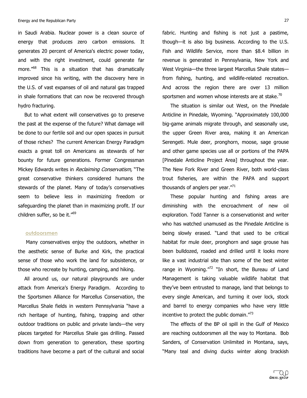in Saudi Arabia. Nuclear power is a clean source of energy that produces zero carbon emissions. It generates 20 percent of America's electric power today, and with the right investment, could generate far more. $168$  This is a situation that has dramatically improved since his writing, with the discovery here in the U.S. of vast expanses of oil and natural gas trapped in shale formations that can now be recovered through hydro fracturing.

But to what extent will conservatives go to preserve the past at the expense of the future? What damage will be done to our fertile soil and our open spaces in pursuit of those riches? The current American Energy Paradigm exacts a great toll on Americans as stewards of her bounty for future generations. Former Congressman Mickey Edwards writes in Reclaiming Conservatism, "The great conservative thinkers considered humans the stewards of the planet. Many of today's conservatives seem to believe less in maximizing freedom or safeguarding the planet than in maximizing profit. If our children suffer, so be it. $\frac{69}{9}$ 

#### **!!!!!outdoorsmen**

Many conservatives enjoy the outdoors, whether in the aesthetic sense of Burke and Kirk, the practical sense of those who work the land for subsistence, or those who recreate by hunting, camping, and hiking.

All around us, our natural playgrounds are under attack from America's Energy Paradigm. According to the Sportsmen Alliance for Marcellus Conservation, the Marcellus Shale fields in western Pennsylvania "have a rich heritage of hunting, fishing, trapping and other outdoor traditions on public and private lands—the very places targeted for Marcellus Shale gas drilling. Passed down from generation to generation, these sporting traditions have become a part of the cultural and social

fabric. Hunting and fishing is not just a pastime,  $t$ hough—it is also big business. According to the U.S. Fish and Wildlife Service, more than \$8.4 billion in revenue is generated in Pennsylvania, New York and West Virginia-the three largest Marcellus Shale statesfrom fishing, hunting, and wildlife-related recreation. And across the region there are over 13 million sportsmen and women whose interests are at stake.<sup>70</sup>

The situation is similar out West, on the Pinedale Anticline in Pinedale, Wyoming. "Approximately 100,000 big-game animals migrate through, and seasonally use, the upper Green River area, making it an American Serengeti. Mule deer, pronghorn, moose, sage grouse and other game species use all or portions of the PAPA [Pinedale Anticline Project Area] throughout the year. The New Fork River and Green River, both world-class trout' fisheries,' are' within' the' PAPA' and' support' thousands of anglers per year."<sup>71</sup>

These popular hunting and fishing areas are diminishing' with' the' encroachment' of' new' oil' exploration. Todd Tanner is a conservationist and writer who has watched unamused as the Pinedale Anticline is being slowly erased. "Land that used to be critical habitat for mule deer, pronghorn and sage grouse has been bulldozed, roaded and drilled until it looks more like a vast industrial site than some of the best winter range in Wyoming. $\frac{m}{2}$  "In short, the Bureau of Land Management is taking valuable wildlife habitat that they've been entrusted to manage, land that belongs to every single American, and turning it over lock, stock and barrel to energy companies who have very little incentive to protect the public domain. $\mathrm{''}^{73}$ 

The effects of the BP oil spill in the Gulf of Mexico are reaching outdoorsmen all the way to Montana. Bob Sanders, of Conservation Unlimited in Montana, says, "Many teal and diving ducks winter along brackish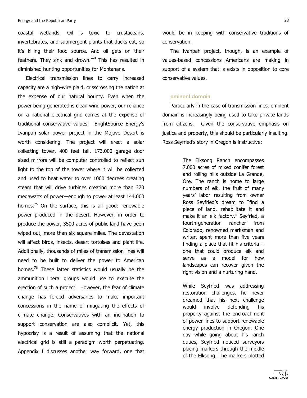coastal wetlands. Oil is toxic to crustaceans, invertebrates, and submergent plants that ducks eat, so it's killing their food source. And oil gets on their feathers. They sink and drown." $74$  This has resulted in diminished hunting opportunities for Montanans.

Electrical transmission lines to carry increased capacity are a high-wire plaid, crisscrossing the nation at the expense of our natural bounty. Even when the power being generated is clean wind power, our reliance on a national electrical grid comes at the expense of traditional conservative values. BrightSource Energy's Ivanpah solar power project in the Mojave Desert is worth considering. The project will erect a solar collecting tower, 400 feet tall. 173,000 garage door sized mirrors will be computer controlled to reflect sun light to the top of the tower where it will be collected and used to heat water to over 1000 degrees creating steam that will drive turbines creating more than 370 megawatts of power-enough to power at least 144,000 homes.<sup>75</sup> On the surface, this is all good: renewable power produced in the desert. However, in order to produce the power, 3500 acres of public land have been wiped out, more than six square miles. The devastation will affect birds, insects, desert tortoises and plant life. Additionally, thousands of miles of transmission lines will need to be built to deliver the power to American homes.<sup>76</sup> These latter statistics would usually be the ammunition liberal groups would use to execute the erection of such a project. However, the fear of climate change has forced adversaries to make important concessions in the name of mitigating the effects of climate change. Conservatives with an inclination to support conservation are also complicit. Yet, this hypocrisy is a result of assuming that the national electrical grid is still a paradigm worth perpetuating. Appendix I discusses another way forward, one that

would be in keeping with conservative traditions of conservation.

The Ivanpah project, though, is an example of values-based concessions Americans are making in support of a system that is exists in opposition to core conservative values.

#### '''''**eminent domain**

Particularly in the case of transmission lines, eminent domain is increasingly being used to take private lands from citizens. Given the conservative emphasis on justice and property, this should be particularly insulting. Ross Seyfried's story in Oregon is instructive:

> The Elksong Ranch encompasses 7,000 acres of mixed conifer forest and rolling hills outside La Grande, Ore. The ranch is home to large numbers of elk, the fruit of many years' labor resulting from owner Ross Seyfried's dream to "find a piece of land, rehabilitate it and make it an elk factory." Seyfried, a fourth-generation rancher from Colorado, renowned marksman and writer, spent more than five years finding a place that fit his criteria  $$ one' that' could' produce' elk' and' serve as a model for how landscapes can recover given the right vision and a nurturing hand.

> While Seyfried was addressing restoration challenges, he never dreamed that his next challenge would involve defending his property against the encroachment of power lines to support renewable energy production in Oregon. One day while going about his ranch duties, Seyfried noticed surveyors placing markers through the middle of the Elksong. The markers plotted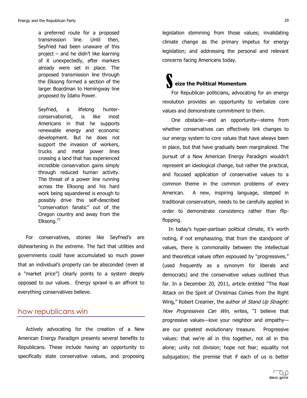a preferred route for a proposed transmission line. Until then, Seyfried had been unaware of this project  $-$  and he didn't like learning of it unexpectedly, after markers already were set in place. The proposed transmission line through the Elksong formed a section of the larger Boardman to Hemingway line proposed by Idaho Power.

Seyfried, a lifelong hunterconservationist, is like most Americans in that he supports renewable energy and economic development. But he does not support the invasion of workers, trucks and metal power lines crossing a land that has experienced incredible conservation gains simply through reduced human activity. The threat of a power line running across the Elksong and his hard work being squandered is enough to possibly drive this self-described "conservation fanatic" out of the Oregon country and away from the Elksong.<sup>77</sup>

For conservatives, stories like Seyfried's are disheartening in the extreme. The fact that utilities and governments' could' have' accumulated' so' much' power' that an individual's property can be absconded (even at a "market price") clearly points to a system deeply opposed to our values. Energy sprawl is an affront to everything conservatives believe.

#### how republicans win

Actively advocating for the creation of a New American Energy Paradigm presents several benefits to Republicans. These include having an opportunity to specifically state conservative values, and proposing legislation stemming from those values; invalidating climate change as the primary impetus for energy legislation; and addressing the personal and relevant concerns facing Americans today.

#### ''''' ''' ''''''''**eize!the!Political!Momentum** S

For Republican politicians, advocating for an energy revolution provides an opportunity to verbalize core values and demonstrate commitment to them.

One obstacle-and an opportunity-stems from whether conservatives can effectively link changes to our energy system to core values that have always been in place, but that have gradually been marginalized. The pursuit of a New American Energy Paradigm wouldn't represent an ideological change, but rather the practical, and focused application of conservative values to a common theme in the common problems of every American. A new, inspiring language, steeped in traditional conservatism, needs to be carefully applied in order to demonstrate consistency rather than flipflopping.

In today's hyper-partisan political climate, it's worth noting, if not emphasizing, that from the standpoint of values, there is commonality between the intellectual and theoretical values often espoused by "progressives," (used frequently as a synonym for liberals and democrats) and the conservative values outlined thus far. In a December 20, 2011, article entitled "The Real Attack on the Spirit of Christmas Comes from the Right Wing," Robert Creamer, the author of Stand Up Straight: How Progressives Can Win, writes, "I believe that progressive values-love your neighbor and empathyare our greatest evolutionary treasure. Progressive values: that we're all in this together, not all in this alone; unity not division; hope not fear; equality not subjugation; the premise that if each of us is better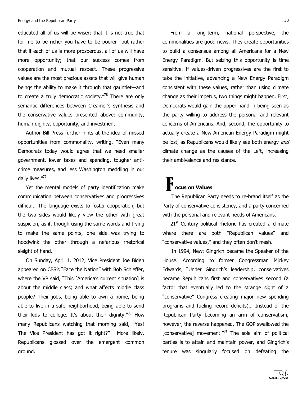educated all of us will be wiser; that it is not true that for me to be richer you have to be poorer-but rather that if each of us is more prosperous, all of us will have more opportunity; that our success comes from cooperation and mutual respect. These progressive values are the most precious assets that will give human beings the ability to make it through that gauntlet—and to create a truly democratic society. $\frac{1}{2}$  There are only semantic differences between Creamer's synthesis and the conservative values presented above: community, human dignity, opportunity, and investment.

Author Bill Press further hints at the idea of missed opportunities from commonality, writing, "Even many Democrats today would agree that we need smaller government, lower taxes and spending, tougher anticrime measures, and less Washington meddling in our daily lives. $''^{79}$ 

Yet the mental models of party identification make communication between conservatives and progressives difficult. The language exists to foster cooperation, but the two sides would likely view the other with great suspicion, as if, though using the same words and trying to make the same points, one side was trying to hoodwink the other through a nefarious rhetorical sleight of hand.

On Sunday, April 1, 2012, Vice President Joe Biden appeared on CBS's "Face the Nation" with Bob Schieffer, where the VP said, "This [America's current situation] is about the middle class; and what affects middle class people? Their jobs, being able to own a home, being able to live in a safe neighborhood, being able to send their kids to college. It's about their dignity."80 How many Republicans watching that morning said, "Yes! The Vice President has got it right?" More likely, Republicans glossed over the emergent common ground.

From a long-term, national perspective, the commonalities are good news. They create opportunities to build a consensus among all Americans for a New Energy Paradigm. But seizing this opportunity is time sensitive. If values-driven progressives are the first to take the initiative, advancing a New Energy Paradigm consistent with these values, rather than using climate change as their impetus, two things might happen. First, Democrats would gain the upper hand in being seen as the party willing to address the personal and relevant concerns of Americans. And, second, the opportunity to actually create a New American Energy Paradigm might be lost, as Republicans would likely see both energy and climate change as the causes of the Left, increasing their ambivalence and resistance.

#### ''''' '' **T** ocus on Values **F**

The Republican Party needs to re-brand itself as the Party of conservative consistency, and a party concerned with the personal and relevant needs of Americans.

 $21<sup>st</sup>$  Century political rhetoric has created a climate where there are both "Republican values" and "conservative values," and they often don't mesh.

In 1994, Newt Gingrich became the Speaker of the House. According to former Congressman Mickey Edwards, "Under Gingrich's leadership, conservatives became Republicans first and conservatives second (a) factor that eventually led to the strange sight of a "conservative" Congress creating major new spending programs and fueling record deficits)... Instead of the Republican Party becoming an arm of conservatism, however, the reverse happened. The GOP swallowed the [conservative] movement." $81$  The sole aim of political parties is to attain and maintain power, and Gingrich's tenure' was' singularly' focused' on' defeating' the'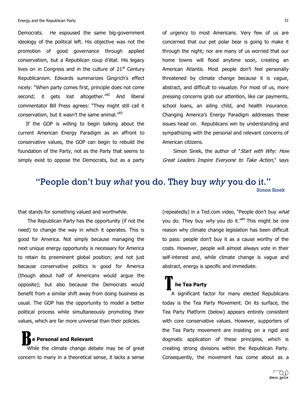Democrats. He espoused the same big-government ideology of the political left. His objective was not the promotion of good governance through applied conservatism, but a Republican coup d'état. His legacy lives on in Congress and in the culture of  $21<sup>st</sup>$  Century Republicanism. Edwards summarizes Gingrich's effect nicely: "When party comes first, principle does not come second; it gets lost altogether."<sup>82</sup> And liberal commentator Bill Press agrees: "They might still call it conservatism, but it wasn't the same animal. $^{\prime\prime83}$ 

If the GOP is willing to begin talking about the current American Energy Paradigm as an affront to conservative values, the GOP can begin to rebuild the foundation of the Party, not as the Party that seems to simply exist to oppose the Democrats, but as a party of urgency to most Americans. Very few of us are concerned that our pet polar bear is going to make it through the night; nor are many of us worried that our home towns will flood anytime soon, creating an American Atlantis. Most people don't feel personally threatened by climate change because it is vague, abstract, and difficult to visualize. For most of us, more pressing concerns grab our attention, like car payments, school loans, an ailing child, and health insurance. Changing America's Energy Paradigm addresses these issues head on. Republicans win by understanding and sympathizing with the personal and relevant concerns of American citiizens.

Simon Sinek, the author of "Start with Why: How Great Leaders Inspire Everyone to Take Action," says

#### "People don't buy *what* you do. They buy *why* you do it." Simon Sinek

that stands for something valued and worthwhile.

The Republican Party has the opportunity (if not the need) to change the way in which it operates. This is good for America. Not simply because managing the next unique energy opportunity is necessary for America to retain its preeminent global position; and not just because conservative politics is good for America (though' about' half' of' Americans' would' argue' the' opposite); but also because the Democrats would benefit from a similar shift away from doing business as usual. The GOP has the opportunity to model a better political process while simultaneously promoting their values, which are far more universal than their policies.

e Personal and Relevant B

While the climate change debate may be of great concern to many in a theoretical sense, it lacks a sense (repeatedly) in a Ted.com video, "People don't buy what you do. They buy  $why$  you do it."<sup>84</sup> This might be one reason why climate change legislation has been difficult to pass: people don't buy it as a cause worthy of the costs. However, people will almost always vote in their self-interest and, while climate change is vague and abstract, energy is specific and immediate.

# ''''''''**he!Tea!Party** T

A significant factor for many elected Republicans today is the Tea Party Movement. On its surface, the Tea Party Platform (below) appears entirely consistent with core conservative values. However, supporters of the Tea Party movement are insisting on a rigid and dogmatic application of these principles, which is creating strong divisions within the Republican Party. Consequently, the movement has come about as a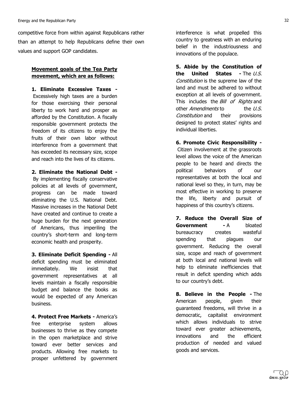competitive force from within against Republicans rather than an attempt to help Republicans define their own values and support GOP candidates.

#### **Movement goals of the Tea Party** movement, which are as follows:

**1. Eliminate Excessive Taxes -**Excessively high taxes are a burden for those exercising their personal liberty to work hard and prosper as afforded by the Constitution. A fiscally responsible government protects the freedom of its citizens to enjoy the fruits of their own labor without interference from a government that has exceeded its necessary size, scope and reach into the lives of its citizens.

**2. Eliminate the National Debt -**By implementing fiscally conservative policies at all levels of government, progress can be made toward eliminating the U.S. National Debt. Massive increases in the National Debt have created and continue to create a huge burden for the next generation of Americans, thus imperiling the country's short-term and long-term economic health and prosperity.

**3. Eliminate Deficit Spending - All** deficit spending must be eliminated immediately. We insist that government representatives at all levels maintain a fiscally responsible budget and balance the books as would be expected of any American business.

**4. Protect Free Markets - America's** free enterprise system allows businesses to thrive as they compete in the open marketplace and strive toward ever better services and products. Allowing free markets to prosper unfettered by government interference is what propelled this country to greatness with an enduring belief in the industriousness and innovations of the populace.

**5. Abide by the Constitution of the United States - The U.S.** Constitution is the supreme law of the land and must be adhered to without exception at all levels of government. This includes the Bill of Rights and other *Amendments* to the U.S. Constitution and their provisions designed to protect states' rights and individual liberties.

**6. Promote Civic Responsibility -**Citizen involvement at the grassroots level allows the voice of the American people to be heard and directs the political behaviors of our representatives at both the local and national level so they, in turn, may be most effective in working to preserve the life, liberty and pursuit of happiness of this country's citizens.

**7. Reduce the Overall Size of Government - A** bloated bureaucracy creates wasteful spending that plagues our government. Reducing the overall size, scope and reach of government at both local and national levels will help to eliminate inefficiencies that result in deficit spending which adds to our country's debt.

**8. Believe in the People - The** American people, given their guaranteed freedoms, will thrive in a democratic, capitalist environment which allows individuals to strive toward ever greater achievements, innovations' and' the' efficient' production of needed and valued goods and services.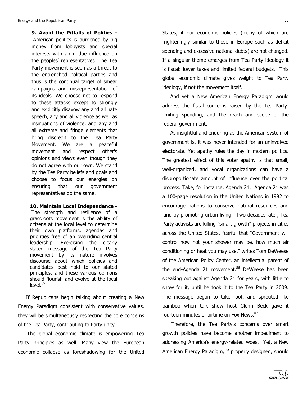**9. Avoid the Pitfalls of Politics -**American politics is burdened by big money from lobbyists and special interests with an undue influence on the peoples' representatives. The Tea Party movement is seen as a threat to the entrenched political parties and thus is the continual target of smear campaigns and misrepresentation of its ideals. We choose not to respond to these attacks except to strongly and explicitly disavow any and all hate speech, any and all violence as well as insinuations of violence, and any and all extreme and fringe elements that bring discredit to the Tea Party Movement. We are a peaceful movement and respect other's opinions and views even though they do not agree with our own. We stand by the Tea Party beliefs and goals and choose to focus our energies on ensuring that our government representatives do the same.

**10. Maintain Local Independence -**

The strength and resilience of a grassroots movement is the ability of citizens at the local level to determine their own platforms, agendas and priorities free of an overriding central leadership. Exercising the clearly stated message of the Tea Party movement by its nature involves discourse about which policies and candidates best hold to our stated principles, and these various opinions should flourish and evolve at the local  $level.<sup>85</sup>$ 

If Republicans begin talking about creating a New Energy Paradigm consistent with conservative values, they will be simultaneously respecting the core concerns of the Tea Party, contributing to Party unity.

The global economic climate is empowering Tea Party principles as well. Many view the European economic collapse as foreshadowing for the United States, if our economic policies (many of which are frighteningly similar to those in Europe such as deficit spending and excessive national debts) are not changed. If a singular theme emerges from Tea Party ideology it is fiscal: lower taxes and limited federal budgets. This global economic climate gives weight to Tea Party ideology, if not the movement itself.

And yet a New American Energy Paradigm would address the fiscal concerns raised by the Tea Party: limiting spending, and the reach and scope of the federal government.

As insightful and enduring as the American system of government is, it was never intended for an uninvolved electorate. Yet apathy rules the day in modern politics. The greatest effect of this voter apathy is that small, well-organized, and vocal organizations can have a disproportionate amount of influence over the political process. Take, for instance, Agenda 21. Agenda 21 was a 100-page resolution in the United Nations in 1992 to encourage nations to conserve natural resources and land by promoting urban living. Two decades later, Tea Party activists are killing "smart growth" projects in cities across the United States, fearful that "Government will control how hot your shower may be, how much air conditioning or heat you may use," writes Tom DeWeese of the American Policy Center, an intellectual parent of the end-Agenda 21 movement.<sup>86</sup> DeWeese has been speaking out against Agenda 21 for years, with little to show for it, until he took it to the Tea Party in 2009. The message began to take root, and sprouted like bamboo when talk show host Glenn Beck gave it fourteen minutes of airtime on Fox News.<sup>87</sup>

Therefore, the Tea Party's concerns over smart growth policies have become another impediment to addressing America's energy-related woes. Yet, a New American Energy Paradigm, if properly designed, should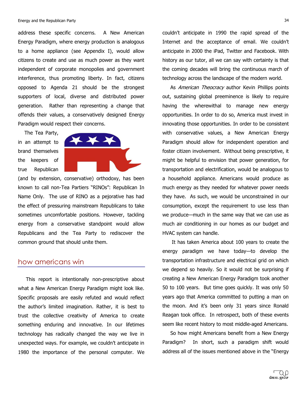address these specific concerns. A New American Energy Paradigm, where energy production is analogous to a home appliance (see Appendix I), would allow citizens to create and use as much power as they want independent of corporate monopolies and government interference, thus promoting liberty. In fact, citizens opposed' to' Agenda' 21' should' be' the' strongest' supporters of local, diverse and distributed power generation. Rather than representing a change that offends their values, a conservatively designed Energy Paradigm would respect their concerns.

The Tea Party, in an attempt to brand' themselves' the keepers of true Republican



(and by extension, conservative) orthodoxy, has been known to call non-Tea Partiers "RINOs": Republican In Name Only. The use of RINO as a pejorative has had the effect of pressuring mainstream Republicans to take sometimes uncomfortable positions. However, tackling energy from a conservative standpoint would allow Republicans and the Tea Party to rediscover the common ground that should unite them.

#### how americans win

This report is intentionally non-prescriptive about what a New American Energy Paradigm might look like. Specific proposals are easily refuted and would reflect the author's limited imagination. Rather, it is best to trust' the' collective' creativity' of' America' to' create' something enduring and innovative. In our lifetimes technology has radically changed the way we live in unexpected ways. For example, we couldn't anticipate in 1980 the importance of the personal computer. We couldn't anticipate in 1990 the rapid spread of the Internet and the acceptance of email. We couldn't anticipate in 2000 the iPad, Twitter and Facebook. With history as our tutor, all we can say with certainty is that the coming decades will bring the continuous march of technology across the landscape of the modern world.

As *American Theocracy* author Kevin Phillips points out, sustaining global preeminence is likely to require having the wherewithal to manage new energy opportunities. In order to do so, America must invest in innovating those opportunities. In order to be consistent with conservative values, a New American Energy Paradigm should allow for independent operation and foster citizen involvement. Without being prescriptive, it might be helpful to envision that power generation, for transportation and electrification, would be analogous to a household appliance. Americans would produce as much energy as they needed for whatever power needs they have. As such, we would be unconstrained in our consumption, except the requirement to use less than we produce—much in the same way that we can use as much air conditioning in our homes as our budget and HVAC system can handle.

It has taken America about 100 years to create the energy paradigm we have today-to develop the transportation infrastructure and electrical grid on which we depend so heavily. So it would not be surprising if creating a New American Energy Paradigm took another 50 to 100 years. But time goes quickly. It was only 50 years ago that America committed to putting a man on the moon. And it's been only 31 years since Ronald Reagan took office. In retrospect, both of these events seem like recent history to most middle-aged Americans.

So how might Americans benefit from a New Energy Paradigm? In short, such a paradigm shift would address all of the issues mentioned above in the "Energy"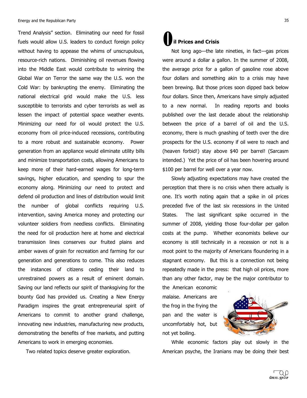Trend Analysis" section. Eliminating our need for fossil fuels would allow U.S. leaders to conduct foreign policy without having to appease the whims of unscrupulous, resource-rich nations. Diminishing oil revenues flowing into the Middle East would contribute to winning the Global War on Terror the same way the U.S. won the Cold War: by bankrupting the enemy. Eliminating the national electrical grid would make the U.S. less susceptible to terrorists and cyber terrorists as well as lessen the impact of potential space weather events. Minimizing our need for oil would protect the U.S. economy from oil price-induced recessions, contributing to a more robust and sustainable economy. Power generation from an appliance would eliminate utility bills and minimize transportation costs, allowing Americans to keep more of their hard-earned wages for long-term savings, higher education, and spending to spur the economy along. Minimizing our need to protect and defend oil production and lines of distribution would limit the number of global conflicts requiring U.S. intervention, saving America money and protecting our volunteer soldiers from needless conflicts. Eliminating the need for oil production here at home and electrical transmission' lines' conserves' our' fruited' plains' and' amber waves of grain for recreation and farming for our generation and generations to come. This also reduces the instances of citizens ceding their land to unrestrained powers as a result of eminent domain. Saving our land reflects our spirit of thanksgiving for the bounty God has provided us. Creating a New Energy Paradigm inspires the great entrepreneurial spirit of Americans to commit to another grand challenge, innovating new industries, manufacturing new products, demonstrating the benefits of free markets, and putting Americans to work in emerging economies.

Two related topics deserve greater exploration.

# **il Prices and Crisis** O

'''''

Not long ago-the late nineties, in fact-gas prices were around a dollar a gallon. In the summer of 2008, the average price for a gallon of gasoline rose above four dollars and something akin to a crisis may have been brewing. But those prices soon dipped back below four dollars. Since then, Americans have simply adjusted to a new normal. In reading reports and books published over the last decade about the relationship between the price of a barrel of oil and the U.S. economy, there is much gnashing of teeth over the dire prospects for the U.S. economy if oil were to reach and (heaven forbid!) stay above \$40 per barrel! (Sarcasm intended.) Yet the price of oil has been hovering around \$100 per barrel for well over a year now.

Slowly adjusting expectations may have created the perception that there is no crisis when there actually is one. It's worth noting again that a spike in oil prices preceded five of the last six recessions in the United States. The last significant spike occurred in the summer of 2008, yielding those four-dollar per gallon costs at the pump. Whether economists believe our economy is still technically in a recession or not is a moot point to the majority of Americans floundering in a stagnant economy. But this is a connection not being repeatedly made in the press: that high oil prices, more than any other factor, may be the major contributor to

the American economic malaise. Americans are the frog in the frying the pan and the water is uncomfortably hot, but not yet boiling.



While economic factors play out slowly in the American psyche, the Iranians may be doing their best

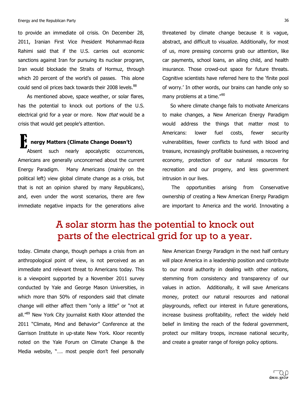to provide an immediate oil crisis. On December 28, 2011, Iranian First Vice President Mohammad-Reza Rahimi said that if the U.S. carries out economic sanctions against Iran for pursuing its nuclear program, Iran would blockade the Straits of Hormuz, through which 20 percent of the world's oil passes. This alone could send oil prices back towards their 2008 levels.<sup>88</sup>

As mentioned above, space weather, or solar flares, has the potential to knock out portions of the U.S. electrical grid for a year or more. Now that would be a crisis that would get people's attention.

<sup>1</sup> nergy Matters (Climate Change Doesn't) Absent such nearly apocalyptic occurrences, Americans are generally unconcerned about the current Energy Paradigm. Many Americans (mainly on the political left) view global climate change as a crisis, but that is not an opinion shared by many Republicans), and, even under the worst scenarios, there are few immediate negative impacts for the generations alive E

threatened by climate change because it is vague, abstract, and difficult to visualize. Additionally, for most of us, more pressing concerns grab our attention, like car payments, school loans, an ailing child, and health insurance. Those crowd-out space for future threats. Cognitive scientists have referred here to the 'finite pool of worry.' In other words, our brains can handle only so many problems at a time."<sup>90</sup>

So where climate change fails to motivate Americans to make changes, a New American Energy Paradigm would address the things that matter most to Americans: lower fuel costs, fewer security vulnerabilities, fewer conflicts to fund with blood and treasure, increasingly profitable businesses, a recovering economy, protection of our natural resources for recreation and our progeny, and less government intrusion in our lives.

The opportunities arising from Conservative ownership of creating a New American Energy Paradigm are important to America and the world. Innovating a

# A solar storm has the potential to knock out parts of the electrical grid for up to a year.

today. Climate change, though perhaps a crisis from an anthropological point of view, is not perceived as an immediate and relevant threat to Americans today. This is a viewpoint supported by a November 2011 survey conducted by Yale and George Mason Universities, in which more than 50% of responders said that climate change will either affect them "only a little" or "not at all. $^{69}$  New York City journalist Keith Kloor attended the 2011 "Climate, Mind and Behavior" Conference at the Garrison Institute in up-state New York. Kloor recently noted on the Yale Forum on Climate Change & the Media website, ".... most people don't feel personally New American Energy Paradigm in the next half century will place America in a leadership position and contribute to our moral authority in dealing with other nations, stemming from consistency and transparency of our values in action. Additionally, it will save Americans money, protect our natural resources and national playgrounds, reflect our interest in future generations, increase business profitability, reflect the widely held belief in limiting the reach of the federal government, protect our military troops, increase national security, and create a greater range of foreign policy options.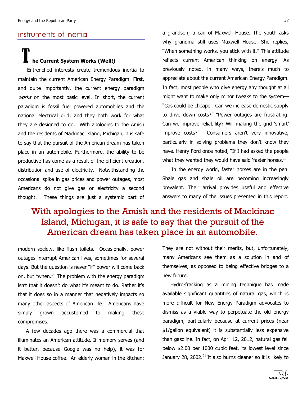#### instruments of inertia

#### ''''' he Current System Works (Well!) T

Entrenched interests create tremendous inertia to maintain the current American Energy Paradigm. First, and quite importantly, the current energy paradigm works on the most basic level. In short, the current paradigm is fossil fuel powered automobiles and the national electrical grid; and they both work for what they are designed to do. With apologies to the Amish and the residents of Mackinac Island, Michigan, it is safe to say that the pursuit of the American dream has taken place in an automobile. Furthermore, the ability to be productive has come as a result of the efficient creation, distribution and use of electricity. Notwithstanding the occasional spike in gas prices and power outages, most Americans do not give gas or electricity a second thought. These things are just a systemic part of

a grandson; a can of Maxwell House. The youth asks why grandma still uses Maxwell House. She replies, "When something works, you stick with it." This attitude reflects current American thinking on energy. As previously noted, in many ways, there's much to appreciate about the current American Energy Paradigm. In fact, most people who give energy any thought at all might want to make only minor tweaks to the system-"Gas could be cheaper. Can we increase domestic supply to drive down costs?" "Power outages are frustrating. Can we improve reliability? Will making the grid 'smart' improve costs?" Consumers aren't very innovative, particularly in solving problems they don't know they have. Henry Ford once noted, "If I had asked the people what they wanted they would have said 'faster horses.""

In the energy world, faster horses are in the pen. Shale gas and shale oil are becoming increasingly prevalent. Their arrival provides useful and effective answers to many of the issues presented in this report.

# With apologies to the Amish and the residents of Mackinac Island, Michigan, it is safe to say that the pursuit of the American dream has taken place in an automobile.

modern society, like flush toilets. Occasionally, power outages interrupt American lives, sometimes for several days. But the question is never "if" power will come back on, but "when." The problem with the energy paradigm isn't that it doesn't do what it's meant to do. Rather it's that it does so in a manner that negatively impacts so many other aspects of American life. Americans have simply grown accustomed to making these compromises.

A few decades ago there was a commercial that illuminates an American attitude. If memory serves (and it better, because Google was no help), it was for Maxwell House coffee. An elderly woman in the kitchen;

They are not without their merits, but, unfortunately, many Americans see them as a solution in and of themselves, as opposed to being effective bridges to a new future.

Hydro-fracking as a mining technique has made available significant quantities of natural gas, which is more difficult for New Energy Paradigm advocates to dismiss as a viable way to perpetuate the old energy paradigm, particularly because at current prices (near \$1/gallon equivalent) it is substantially less expensive than gasoline. In fact, on April 12, 2012, natural gas fell below \$2.00 per 1000 cubic feet, its lowest level since January 28, 2002.<sup>91</sup> It also burns cleaner so it is likely to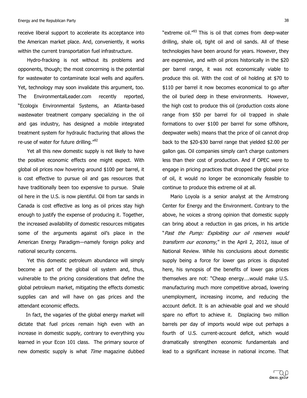receive liberal support to accelerate its acceptance into the American market place. And, conveniently, it works within the current transportation fuel infrastructure.

Hydro-fracking is not without its problems and opponents, though; the most concerning is the potential for wastewater to contaminate local wells and aquifers. Yet, technology may soon invalidate this argument, too. The EnvironmentalLeader.com recently reported, "Ecologix Environmental Systems, an Atlanta-based wastewater treatment company specializing in the oil and gas industry, has designed a mobile integrated treatment system for hydraulic fracturing that allows the re-use of water for future drilling."<sup>92</sup>

Yet all this new domestic supply is not likely to have the positive economic effects one might expect. With global oil prices now hovering around \$100 per barrel, it is cost effective to pursue oil and gas resources that have traditionally been too expensive to pursue. Shale oil here in the U.S. is now plentiful. Oil from tar sands in Canada is cost effective as long as oil prices stay high enough to justify the expense of producing it. Together, the increased availability of domestic resources mitigates some of the arguments against oil's place in the American Energy Paradigm-namely foreign policy and national security concerns.

Yet this domestic petroleum abundance will simply become a part of the global oil system and, thus, vulnerable to the pricing considerations that define the global petroleum market, mitigating the effects domestic supplies can and will have on gas prices and the attendant economic effects.

In fact, the vagaries of the global energy market will dictate that fuel prices remain high even with an increase in domestic supply, contrary to everything you learned in your Econ 101 class. The primary source of new domestic supply is what Time magazine dubbed "extreme oil."<sup>93</sup> This is oil that comes from deep-water drilling, shale oil, tight oil and oil sands. All of these technologies have been around for years. However, they are expensive, and with oil prices historically in the \$20 per barrel range, it was not economically viable to produce this oil. With the cost of oil holding at \$70 to \$110 per barrel it now becomes economical to go after the oil buried deep in these environments. However, the high cost to produce this oil (production costs alone) range from \$50 per barrel for oil trapped in shale formations to over \$100 per barrel for some offshore, deepwater wells) means that the price of oil cannot drop back to the \$20-\$30 barrel range that yielded \$2.00 per gallon gas. Oil companies simply can't charge customers less than their cost of production. And if OPEC were to engage in pricing practices that dropped the global price of oil, it would no longer be economically feasible to continue to produce this extreme oil at all.

Mario Loyola is a senior analyst at the Armstrong Center for Energy and the Environment. Contrary to the above, he voices a strong opinion that domestic supply can bring about a reduction in gas prices, in his article "Past the Pump: Exploiting our oil reserves would transform our economy," in the April 2, 2012, issue of National Review. While his conclusions about domestic supply being a force for lower gas prices is disputed here, his synopsis of the benefits of lower gas prices themselves are not: "Cheap energy....would make U.S. manufacturing much more competitive abroad, lowering unemployment, increasing income, and reducing the account deficit. It is an achievable goal and we should spare no effort to achieve it. Displacing two million barrels per day of imports would wipe out perhaps a fourth of U.S. current-account deficit, which would dramatically' strengthen' economic' fundamentals' and' lead to a significant increase in national income. That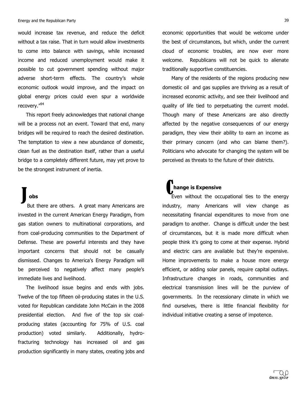would increase tax revenue, and reduce the deficit without a tax raise. That in turn would allow investments to come into balance with savings, while increased income and reduced unemployment would make it possible to cut government spending without major adverse short-term effects. The country's whole economic outlook would improve, and the impact on global' energy' prices' could' even' spur' a' worldwide' recovery."<sup>94</sup>

This report freely acknowledges that national change will be a process not an event. Toward that end, many bridges will be required to reach the desired destination. The temptation to view a new abundance of domestic, clean fuel as the destination itself, rather than a useful bridge to a completely different future, may yet prove to be the strongest instrument of inertia.

# '''''''**obs**

'''''

But there are others. A great many Americans are invested in the current American Energy Paradigm, from gas station owners to multinational corporations, and from coal-producing communities to the Department of Defense. These are powerful interests and they have important concerns that should not be casually dismissed. Changes to America's Energy Paradigm will be perceived to negatively affect many people's immediate lives and livelihood.  $\int_{\mathbb{R}}$  obs

The livelihood issue begins and ends with jobs. Twelve of the top fifteen oil-producing states in the U.S. voted for Republican candidate John McCain in the 2008 presidential election. And five of the top six coalproducing states (accounting for 75% of U.S. coal production) voted similarly. Additionally, hydrofracturing technology has increased oil and gas production significantly in many states, creating jobs and economic opportunities that would be welcome under the best of circumstances, but which, under the current cloud of economic troubles, are now ever more welcome. Republicans will not be quick to alienate traditionally supportive constituencies.

Many of the residents of the regions producing new domestic oil and gas supplies are thriving as a result of increased economic activity, and see their livelihood and quality of life tied to perpetuating the current model. Though many of these Americans are also directly affected by the negative consequences of our energy paradigm, they view their ability to earn an income as their primary concern (and who can blame them?). Politicians who advocate for changing the system will be perceived as threats to the future of their districts.

#### '''''  $'$  hange is Expensive

Even' without' the' occupational' ties' to' the' energy' industry, many Americans will view change as necessitating financial expenditures to move from one paradigm to another. Change is difficult under the best of circumstances, but it is made more difficult when people think it's going to come at their expense. Hybrid and electric cars are available but they're expensive. Home improvements to make a house more energy efficient, or adding solar panels, require capital outlays. Infrastructure changes in roads, communities and electrical transmission lines will be the purview of governments. In the recessionary climate in which we find ourselves, there is little financial flexibility for individual initiative creating a sense of impotence.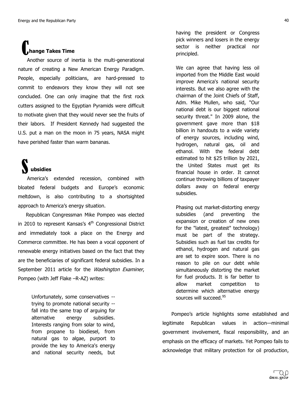# '''''''**hange Takes!Time C**

Another source of inertia is the multi-generational nature of creating a New American Energy Paradigm. People, especially politicians, are hard-pressed to commit to endeavors they know they will not see concluded. One can only imagine that the first rock cutters assigned to the Egyptian Pyramids were difficult to motivate given that they would never see the fruits of their labors. If President Kennedy had suggested the U.S. put a man on the moon in 75 years, NASA might have perished faster than warm bananas.

#### ''''' ''''''''**ubsidies** S

America's extended recession, combined with bloated federal budgets and Europe's economic meltdown, is also contributing to a shortsighted approach to America's energy situation.

Republican Congressman Mike Pompeo was elected in 2010 to represent Kansas's  $4<sup>th</sup>$  Congressional District and immediately took a place on the Energy and Commerce committee. He has been a vocal opponent of renewable energy initiatives based on the fact that they are the beneficiaries of significant federal subsidies. In a September 2011 article for the *Washington Examiner*, Pompeo (with Jeff Flake -R-AZ) writes:

> Unfortunately, some conservatives -trying to promote national security -fall into the same trap of arguing for alternative energy subsidies. Interests ranging from solar to wind, from propane to biodiesel, from natural gas to algae, purport to provide the key to America's energy and national security needs, but

having the president or Congress pick winners and losers in the energy sector is neither practical nor principled.

We can agree that having less oil imported from the Middle East would improve America's national security interests. But we also agree with the chairman of the Joint Chiefs of Staff, Adm. Mike Mullen, who said, "Our national debt is our biggest national security threat." In 2009 alone, the government gave more than \$18 billion in handouts to a wide variety of energy sources, including wind, hydrogen, natural gas, oil and ethanol. With the federal debt estimated to hit \$25 trillion by 2021, the United States must get its financial house in order. It cannot continue throwing billions of taxpayer dollars away on federal energy subsidies.

Phasing out market-distorting energy subsidies (and preventing the expansion or creation of new ones for the "latest, greatest" technology) must be part of the strategy. Subsidies such as fuel tax credits for ethanol, hydrogen and natural gas are set to expire soon. There is no reason to pile on our debt while simultaneously distorting the market for fuel products. It is far better to allow market competition to determine which alternative energy sources will succeed.<sup>95</sup>

Pompeo's article highlights some established and legitimate Republican values in action-minimal government involvement, fiscal responsibility, and an emphasis on the efficacy of markets. Yet Pompeo fails to acknowledge that military protection for oil production,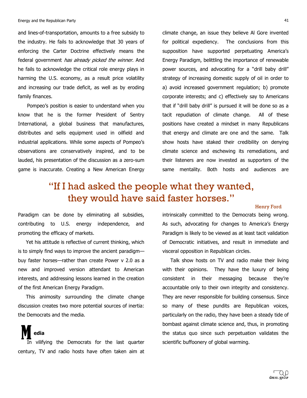and lines-of-transportation, amounts to a free subsidy to the industry. He fails to acknowledge that 30 years of enforcing the Carter Doctrine effectively means the federal government *has already picked the winner*. And he fails to acknowledge the critical role energy plays in harming the U.S. economy, as a result price volatility and increasing our trade deficit, as well as by eroding family finances.

Pompeo's position is easier to understand when you know that he is the former President of Sentry International, a global business that manufactures, distributes and sells equipment used in oilfield and industrial applications. While some aspects of Pompeo's observations are conservatively inspired, and to be lauded, his presentation of the discussion as a zero-sum game is inaccurate. Creating a New American Energy climate change, an issue they believe Al Gore invented for political expediency. The conclusions from this supposition have supported perpetuating America's Energy Paradigm, belittling the importance of renewable power sources, and advocating for a "drill baby drill" strategy of increasing domestic supply of oil in order to a) avoid increased government regulation; b) promote corporate interests; and c) effectively say to Americans that if "drill baby drill" is pursued it will be done so as a tacit repudiation of climate change. All of these positions have created a mindset in many Republicans that energy and climate are one and the same. Talk show hosts have staked their credibility on denying climate science and eschewing its remediations, and their listeners are now invested as supporters of the same mentality. Both hosts and audiences are

# "If I had asked the people what they wanted, they would have said faster horses."

#### Henry Ford

Paradigm can be done by eliminating all subsidies, contributing to U.S. energy independence, and promoting the efficacy of markets.

Yet his attitude is reflective of current thinking, which is to simply find ways to improve the ancient paradigmbuy faster horses-rather than create Power v 2.0 as a new and improved version attendant to American interests, and addressing lessons learned in the creation of the first American Energy Paradigm.

This animosity surrounding the climate change discussion creates two more potential sources of inertia: the Democrats and the media.

''''''''''**edia** In vilifying the Democrats for the last quarter century, TV and radio hosts have often taken aim at

'''''

intrinsically committed to the Democrats being wrong. As such, advocating for changes to America's Energy Paradigm is likely to be viewed as at least tacit validation of Democratic initiatives, and result in immediate and visceral opposition in Republican circles.

Talk show hosts on TV and radio make their living with their opinions. They have the luxury of being consistent in their messaging because they're accountable only to their own integrity and consistency. They are never responsible for building consensus. Since so many of these pundits are Republican voices, particularly on the radio, they have been a steady tide of bombast against climate science and, thus, in promoting the status quo since such perpetuation validates the scientific buffoonery of global warming.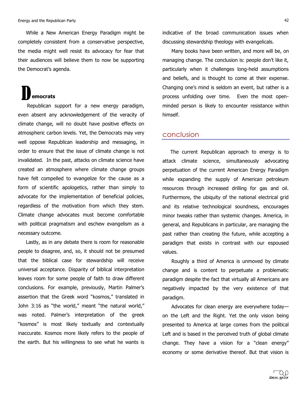While a New American Energy Paradigm might be completely consistent from a conservative perspective, the media might well resist its advocacy for fear that their audiences will believe them to now be supporting the Democrat's agenda.

# '''**emocrats** D

Republican support for a new energy paradigm, even absent any acknowledgement of the veracity of climate change, will no doubt have positive effects on atmospheric carbon levels. Yet, the Democrats may very well oppose Republican leadership and messaging, in order to ensure that the issue of climate change is not invalidated. In the past, attacks on climate science have created' an' atmosphere' where' climate' change' groups' have felt compelled to evangelize for the cause as a form of scientific apologetics, rather than simply to advocate for the implementation of beneficial policies, regardless of the motivation from which they stem. Climate change advocates must become comfortable with political pragmatism and eschew evangelism as a necessary outcome.

Lastly, as in any debate there is room for reasonable people to disagree, and, so, it should not be presumed that the biblical case for stewardship will receive universal acceptance. Disparity of biblical interpretation leaves room for some people of faith to draw different conclusions. For example, previously, Martin Palmer's assertion that the Greek word "kosmos," translated in John 3:16 as "the world," meant "the natural world," was noted. Palmer's interpretation of the greek "kosmos" is most likely textually and contextually inaccurate. Kosmos more likely refers to the people of the earth. But his willingness to see what he wants is

indicative of the broad communication issues when discussing stewardship theology with evangelicals.

Many books have been written, and more will be, on managing change. The conclusion is: people don't like it, particularly when it challenges long-held assumptions and beliefs, and is thought to come at their expense. Changing one's mind is seldom an event, but rather is a process unfolding over time. Even the most openminded person is likely to encounter resistance within himself.

#### conclusion

The current Republican approach to energy is to attack climate science, simultaneously advocating perpetuation of the current American Energy Paradigm while expanding the supply of American petroleum resources through increased drilling for gas and oil. Furthermore, the ubiquity of the national electrical grid and its relative technological soundness, encourages minor tweaks rather than systemic changes. America, in general, and Republicans in particular, are managing the past rather than creating the future, while accepting a paradigm that exists in contrast with our espoused values.'

Roughly a third of America is unmoved by climate change and is content to perpetuate a problematic paradigm despite the fact that virtually all Americans are negatively impacted by the very existence of that paradigm.'

Advocates for clean energy are everywhere todayon the Left and the Right. Yet the only vision being presented' to' America' at' large' comes' from' the political' Left and is based in the perceived truth of global climate change. They have a vision for a "clean energy" economy or some derivative thereof. But that vision is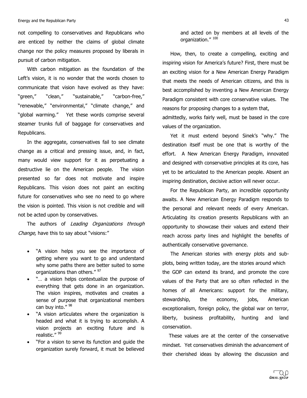not compelling to conservatives and Republicans who are enticed by neither the claims of global climate change nor the policy measures proposed by liberals in pursuit of carbon mitigation.

With carbon mitigation as the foundation of the Left's vision, it is no wonder that the words chosen to communicate that vision have evolved as they have: "green," "clean," "sustainable," "carbon-free," "renewable," "environmental," "climate change," and "global warming." Yet these words comprise several steamer trunks full of baggage for conservatives and Republicans.

In the aggregate, conservatives fail to see climate change as a critical and pressing issue, and, in fact, many would view support for it as perpetuating a destructive lie on the American people. The vision presented so far does not motivate and inspire Republicans. This vision does not paint an exciting future for conservatives who see no need to go where the vision is pointed. This vision is not credible and will not be acted upon by conservatives.

The authors of Leading Organizations through Change, have this to say about "visions:"

- "A vision helps you see the importance of getting where you want to go and understand why some paths there are better suited to some organizations than others." 97
- "... a vision helps contextualize the purpose of everything that gets done in an organization. The vision inspires, motivates and creates a sense of purpose that organizational members can buy into."  $98$
- "A vision articulates where the organization is headed and what it is trying to accomplish. A vision projects an exciting future and is realistic." 99
- "For a vision to serve its function and guide the organization surely forward, it must be believed

and acted on by members at all levels of the organization." 100

How, then, to create a compelling, exciting and inspiring vision for America's future? First, there must be an exciting vision for a New American Energy Paradigm that meets the needs of American citizens, and this is best accomplished by inventing a New American Energy Paradigm consistent with core conservative values. The reasons for proposing changes to a system that,

admittedly, works fairly well, must be based in the core values of the organization.

Yet it must extend beyond Sinek's "why." The destination itself must be one that is worthy of the effort. A New American Energy Paradigm, innovated and designed with conservative principles at its core, has yet to be articulated to the American people. Absent an inspiring destination, decisive action will never occur.

For the Republican Party, an incredible opportunity awaits. A New American Energy Paradigm responds to the personal and relevant needs of every American. Articulating its creation presents Republicans with an opportunity to showcase their values and extend their reach across party lines and highlight the benefits of authentically conservative governance.

The American stories with energy plots and subplots, being written today, are the stories around which the GOP can extend its brand, and promote the core values of the Party that are so often reflected in the homes of all Americans: support for the military, stewardship, the economy, jobs, American exceptionalism, foreign policy, the global war on terror, liberty, business profitability, hunting and land conservation.'

These values are at the center of the conservative mindset. Yet conservatives diminish the advancement of their cherished ideas by allowing the discussion and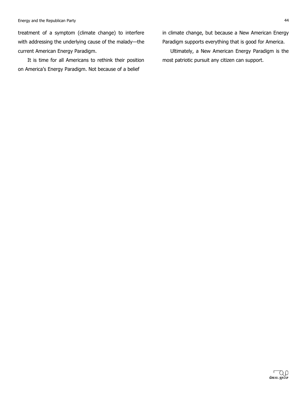treatment of a symptom (climate change) to interfere with addressing the underlying cause of the malady-the current American Energy Paradigm.

It is time for all Americans to rethink their position on America's Energy Paradigm. Not because of a belief

in climate change, but because a New American Energy Paradigm supports everything that is good for America.

Ultimately, a New American Energy Paradigm is the most patriotic pursuit any citizen can support.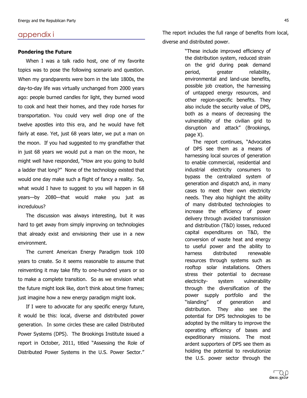#### appendix i

#### **Pondering the Future**

When I was a talk radio host, one of my favorite topics was to pose the following scenario and question. When my grandparents were born in the late 1800s, the day-to-day life was virtually unchanged from 2000 years ago: people burned candles for light, they burned wood to cook and heat their homes, and they rode horses for transportation. You could very well drop one of the twelve apostles into this era, and he would have felt fairly at ease. Yet, just 68 years later, we put a man on the moon. If you had suggested to my grandfather that in just 68 years we would put a man on the moon, he might well have responded, "How are you going to build a ladder that long?" None of the technology existed that would one day make such a flight of fancy a reality. So, what would I have to suggest to you will happen in 68 years-by 2080-that would make you just as incredulous?

The discussion was always interesting, but it was hard to get away from simply improving on technologies that already exist and envisioning their use in a new environment.

The current American Energy Paradigm took 100 years to create. So it seems reasonable to assume that reinventing it may take fifty to one-hundred years or so to make a complete transition. So as we envision what the future might look like, don't think about time frames; just imagine how a new energy paradigm might look.

If I were to advocate for any specific energy future, it would be this: local, diverse and distributed power generation. In some circles these are called Distributed Power Systems (DPS). The Brookings Institute issued a report in October, 2011, titled "Assessing the Role of Distributed Power Systems in the U.S. Power Sector."

The report includes the full range of benefits from local, diverse and distributed power.

> "These include improved efficiency of the distribution system, reduced strain on' the' grid' during' peak' demand' period, greater reliability, environmental and land-use benefits, possible job creation, the harnessing of untapped energy resources, and other region-specific benefits. They also include the security value of DPS, both as a means of decreasing the vulnerability of the civilian grid to disruption and attack" (Brookings, page X).

> The report continues, "Advocates" of' DPS' see' them' as' a' means' of' harnessing local sources of generation to enable commercial, residential and industrial electricity consumers to bypass the centralized system of generation and dispatch and, in many cases to meet their own electricity needs. They also highlight the ability of many distributed technologies to increase the efficiency of power delivery through avoided transmission and distribution (T&D) losses, reduced capital expenditures on T&D, the conversion of waste heat and energy to useful power and the ability to harness distributed renewable resources through systems such as rooftop solar installations. Others stress their potential to decrease electricity- system vulnerability through the diversification of the power supply portfolio and the "islanding" of generation and distribution. They also see the potential for DPS technologies to be adopted by the military to improve the operating efficiency of bases and expeditionary missions. The most ardent supporters of DPS see them as holding the potential to revolutionize the U.S. power sector through the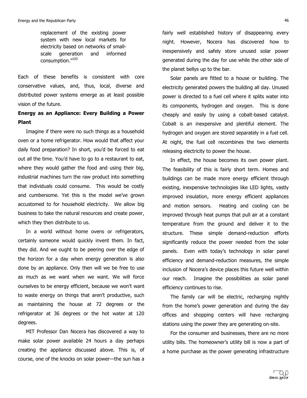replacement of the existing power system with new local markets for electricity based on networks of smallscale generation and informed consumption."103

Each of these benefits is consistent with core conservative values, and, thus, local, diverse and distributed power systems emerge as at least possible vision of the future.

### **Energy as an Appliance: Every Building a Power Plant**

Imagine if there were no such things as a household oven or a home refrigerator. How would that affect your daily food preparation? In short, you'd be forced to eat out all the time. You'd have to go to a restaurant to eat, where they would gather the food and using their big, industrial machines turn the raw product into something that individuals could consume. This would be costly and cumbersome. Yet this is the model we've grown accustomed to for household electricity. We allow big business to take the natural resources and create power, which they then distribute to us.

In a world without home ovens or refrigerators, certainly someone would quickly invent them. In fact, they did. And we ought to be peering over the edge of the horizon for a day when energy generation is also done by an appliance. Only then will we be free to use as much as we want when we want. We will force ourselves to be energy efficient, because we won't want to waste energy on things that aren't productive, such as maintaining the house at 72 degrees or the refrigerator at 36 degrees or the hot water at 120 degrees.

MIT Professor Dan Nocera has discovered a way to make solar power available 24 hours a day perhaps creating the appliance discussed above. This is, of course, one of the knocks on solar power-the sun has a fairly well established history of disappearing every night. However, Nocera has discovered how to inexpensively and safely store unused solar power generated during the day for use while the other side of the planet bellys up to the bar.

Solar panels are fitted to a house or building. The electricity generated powers the building all day. Unused power is directed to a fuel cell where it splits water into its components, hydrogen and oxygen. This is done cheaply and easily by using a cobalt-based catalyst. Cobalt is an inexpensive and plentiful element. The hydrogen and oxygen are stored separately in a fuel cell. At night, the fuel cell recombines the two elements releasing electricity to power the house.

In effect, the house becomes its own power plant. The feasibility of this is fairly short term. Homes and buildings can be made more energy efficient through existing, inexpensive technologies like LED lights, vastly improved insulation, more energy efficient appliances and motion sensors. Heating and cooling can be improved through heat pumps that pull air at a constant temperature from the ground and deliver it to the structure. These simple demand-reduction efforts significantly reduce the power needed from the solar panels. Even with today's technology in solar panel efficiency and demand-reduction measures, the simple inclusion of Nocera's device places this future well within our reach. Imagine the possibilities as solar panel efficiency continues to rise.

The family car will be electric, recharging nightly from the home's power generation and during the day offices and shopping centers will have recharging stations using the power they are generating on-site.

For the consumer and businesses, there are no more utility bills. The homeowner's utility bill is now a part of a home purchase as the power generating infrastructure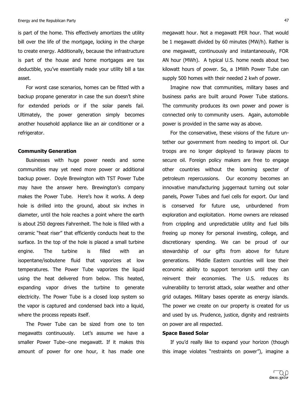is part of the home. This effectively amortizes the utility bill over the life of the mortgage, locking in the charge to create energy. Additionally, because the infrastructure is part of the house and home mortgages are tax deductible, you've essentially made your utility bill a tax asset.

For worst case scenarios, homes can be fitted with a backup propane generator in case the sun doesn't shine for extended periods or if the solar panels fail. Ultimately, the power generation simply becomes another household appliance like an air conditioner or a refrigerator.

#### **Community!Generation**

Businesses with huge power needs and some communities may yet need more power or additional backup power. Doyle Brewington with TST Power Tube may have the answer here. Brewington's company makes the Power Tube. Here's how it works. A deep hole is drilled into the ground, about six inches in diameter, until the hole reaches a point where the earth is about 250 degrees Fahrenheit. The hole is filled with a ceramic "heat riser" that efficiently conducts heat to the surface. In the top of the hole is placed a small turbine engine. The turbine is filled with an isopentane/isobutene fluid that vaporizes at low temperatures. The Power Tube vaporizes the liquid using the heat delivered from below. This heated, expanding vapor drives the turbine to generate electricity. The Power Tube is a closed loop system so the vapor is captured and condensed back into a liquid, where the process repeats itself.

The Power Tube can be sized from one to ten megawatts continuously. Let's assume we have a smaller Power Tube--one megawatt. If it makes this amount of power for one hour, it has made one megawatt hour. Not a megawatt PER hour. That would be 1 megawatt divided by 60 minutes (MW/h). Rather is one megawatt, continuously and instantaneously, FOR AN hour (MWh). A typical U.S. home needs about two kilowatt hours of power. So, a 1MWh Power Tube can supply 500 homes with their needed 2 kwh of power.

Imagine now that communities, military bases and business parks are built around Power Tube stations. The community produces its own power and power is connected only to community users. Again, automobile power is provided in the same way as above.

For the conservative, these visions of the future untether our government from needing to import oil. Our troops are no longer deployed to faraway places to secure oil. Foreign policy makers are free to engage other countries without the looming specter of petroleum repercussions. Our economy becomes an innovative manufacturing juggernaut turning out solar panels, Power Tubes and fuel cells for export. Our land is conserved for future use, unburdened from exploration and exploitation. Home owners are released from crippling and unpredictable utility and fuel bills freeing up money for personal investing, college, and discretionary spending. We can be proud of our stewardship of our gifts from above for future generations. Middle Eastern countries will lose their economic ability to support terrorism until they can reinvent their economies. The U.S. reduces its vulnerability to terrorist attack, solar weather and other grid outages. Military bases operate as energy islands. The power we create on our property is created for us and used by us. Prudence, justice, dignity and restraints on power are all respected.

#### **Space Based Solar**

If you'd really like to expand your horizon (though this image violates "restraints on power"), imagine a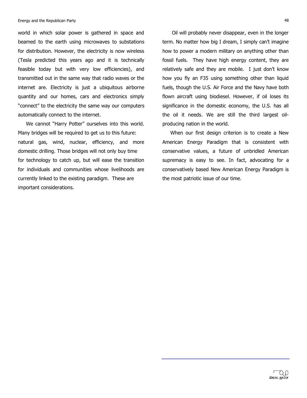world in which solar power is gathered in space and beamed to the earth using microwaves to substations for distribution. However, the electricity is now wireless (Tesla predicted this years ago and it is technically feasible today but with very low efficiencies), and transmitted out in the same way that radio waves or the internet are. Electricity is just a ubiquitous airborne quantity and our homes, cars and electronics simply "connect" to the electricity the same way our computers automatically connect to the internet.

We cannot "Harry Potter" ourselves into this world. Many bridges will be required to get us to this future: natural gas, wind, nuclear, efficiency, and more domestic drilling. Those bridges will not only buy time for technology to catch up, but will ease the transition for individuals and communities whose livelihoods are currently linked to the existing paradigm. These are important considerations.

Oil will probably never disappear, even in the longer term. No matter how big I dream, I simply can't imagine how to power a modern military on anything other than fossil fuels. They have high energy content, they are relatively safe and they are mobile. I just don't know how you fly an F35 using something other than liquid fuels, though the U.S. Air Force and the Navy have both flown aircraft using biodiesel. However, if oil loses its significance in the domestic economy, the U.S. has all the oil it needs. We are still the third largest oilproducing nation in the world.

When our first design criterion is to create a New American Energy Paradigm that is consistent with conservative values, a future of unbridled American supremacy is easy to see. In fact, advocating for a conservatively based New American Energy Paradigm is the most patriotic issue of our time.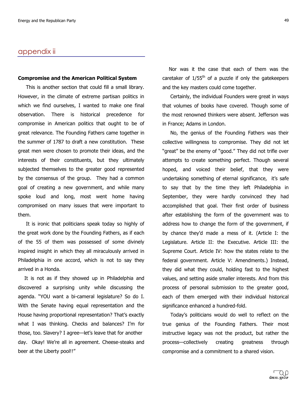### appendix ii

#### **Compromise and the American Political System**

This is another section that could fill a small library. However, in the climate of extreme partisan politics in which we find ourselves, I wanted to make one final observation. There is historical precedence for compromise in American politics that ought to be of great relevance. The Founding Fathers came together in the summer of 1787 to draft a new constitution. These great men were chosen to promote their ideas, and the interests of their constituents, but they ultimately subjected themselves to the greater good represented by the consensus of the group. They had a common goal of creating a new government, and while many spoke loud and long, most went home having compromised on many issues that were important to them.

It is ironic that politicians speak today so highly of the great work done by the Founding Fathers, as if each of the 55 of them was possessed of some divinely inspired insight in which they all miraculously arrived in Philadelphia in one accord, which is not to say they arrived in a Honda.

It is not as if they showed up in Philadelphia and discovered a surprising unity while discussing the agenda. "YOU want a bi-cameral legislature? So do I. With the Senate having equal representation and the House having proportional representation? That's exactly what I was thinking. Checks and balances? I'm for those, too. Slavery? I agree—let's leave that for another day. Okay! We're all in agreement. Cheese-steaks and beer at the Liberty pool!!"

Nor was it the case that each of them was the caretaker of  $1/55<sup>th</sup>$  of a puzzle if only the gatekeepers and the key masters could come together.

Certainly, the individual Founders were great in ways that volumes of books have covered. Though some of the most renowned thinkers were absent. Jefferson was in France; Adams in London.

No, the genius of the Founding Fathers was their collective willingness to compromise. They did not let "great" be the enemy of "good." They did not trifle over attempts to create something perfect. Though several hoped, and voiced their belief, that they were undertaking something of eternal significance, it's safe to say that by the time they left Philadelphia in September, they were hardly convinced they had accomplished that goal. Their first order of business after establishing the form of the government was to address how to change the form of the government, if by chance they'd made a mess of it. (Article I: the Legislature. Article II: the Executive. Article III: the Supreme Court. Article IV: how the states relate to the federal government. Article V: Amendments.) Instead, they did what they could, holding fast to the highest values, and setting aside smaller interests. And from this process of personal submission to the greater good, each of them emerged with their individual historical significance enhanced a hundred-fold.

Today's politicians would do well to reflect on the true genius of the Founding Fathers. Their most instructive legacy was not the product, but rather the process-collectively creating greatness through compromise and a commitment to a shared vision.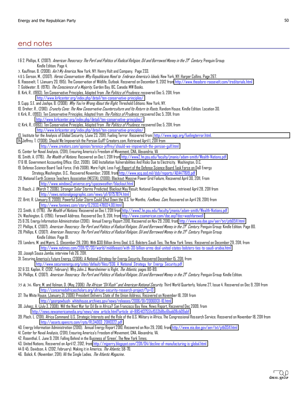# end notes

| 16 2. Phillips, K. (2007). <i>American Theocracy: The Peril and Politics of Radical Religion, Oil and Borrowed Money in the 2f<sup>t</sup> Century, Penguin Group:</i>                                   |
|----------------------------------------------------------------------------------------------------------------------------------------------------------------------------------------------------------|
| Kindle Edition. Page 4.                                                                                                                                                                                  |
| 3. Kauffman, B. (2008). Ain't My America, New York, NY: Henry Holt and Company. Page 233.                                                                                                                |
| 465. Gerson, M., (2007). <i>Heroic Conservatism: Why Republicans Need to Embrace America's Ideals</i> , New York, NY: Harper Collins. Page 267.                                                          |
| 6. Roosevelt, T. (January 20, 1915). The Conservation of Wildlife, Outlook. Recovered on December 9, 2012 from http://www.theodore-roosevelt.com/treditorials.html                                       |
| 7. Goldwater, B. (1970). <i>The Conscience of a Majority</i> , Garden Bay, BC, Canada: MW Books.                                                                                                         |
| 8. Kirk, R., (1993). Ten Conservative Principles, Adapted from <i>The Politics of Prudence</i> , recovered Dec 5, 2011, from                                                                             |
| http://www.kirkcenter.org/index.php/detail/ten-conservative-principles/                                                                                                                                  |
| 9. Cupp, S.E. and Joshpe, B. (2008). Why You're Wrong About the Right, Threshold Editions: New York, NY.                                                                                                 |
| 10. Dreher, R., (2010). Crunchy Cans: The New Canservative Caunterculture and Its Return to Roats, Random House, Kindle Edition. Location 30.                                                            |
| 11. Kirk, R., (1993). Ten Conservative Principles, Adapted from <i>The Politics of Prudence</i> , recovered Dec 5, 2011, from                                                                            |
| http://www.kirkcenter.org/index.php/detail/ten-conservative-principles/                                                                                                                                  |
| 12. Kirk, R., (1993). Ten Conservative Principles, Adapted from <i>The Politics of Prudence</i> , recovered Dec 5, 2011, from<br>http://www.kirkcenter.org/index.php/detail/ten-conservative-principles/ |
| 13. Institute for the Analysis of Global Security, (June 23, 2011). Fueling Terror. Recovered from http://www.iags.org/fuelingterror.html.                                                               |
| 14. Jeffrey, T. (2008). Should We Impoverish the Persian Gulf? Creators.com, Retrieved April 1, 2011 from                                                                                                |
| http://www.creators.com/opinion/terence-jeffrey/should-we-impoverish-the-persian-gulf.html                                                                                                               |
| 15. Center for Naval Analysis, (2011), Ensuring America's Freedom of Movement, CNA, Alexandria, VA                                                                                                       |
| 16. Smith, A. (1776). <i>The Wealth of Nations</i> . Recovered on Dec 1, 2011 from http://www2.hn.psu.edu/faculty/jmanis/adam-smith/Wealth-Nations.pdf                                                   |
| 176 18. Government Accounting Office. (Oct, 2009). GAO Installation Vulnerabilities And Risks Due to Electricity. Washington, D.C.                                                                       |
| 19. Defense Science Board Task Force, (Feb 2008). More Fight, Less Fuel: Report of the Defense Science Board Task Force on DoD Energy                                                                    |
| Strategy.Washington, D.C Recovered November, 2008, from http://www.acq.osd.mil/dsb/reports/ADA477619.pdf                                                                                                 |
| 20. National Earth Science Teachers Association (NESTA), (2000). Blackout: Massive Power Grid Failure, Recovered April 30, 2011, From                                                                    |
| http://www.windows2universe.org/spaceweather/blackout.html                                                                                                                                               |
| 21. Roach, J. (March 7, 2006). Stronger Solar Storms Predicted; Blackout May Result, National Geographic News, retrieved April 28, 2011 from                                                             |
| http://news.nationalgeographic.com/news/pf/61757874.html                                                                                                                                                 |
| 22. Britt, R. (January 9, 2009). Powerful Solar Storm Could Shut Down the U.S. for Months, FoxNews. Com, Recovered on April 28, 2011) from                                                               |
| http://www.faxnews.com/story/0,2933,478024,00.html                                                                                                                                                       |
| 23. Smith, A. (1776). The Wealth of Nations. Recovered on Dec 1, 2011 from http://www2.hn.psu.edu/faculty/jmanis/adam-smith/Wealth-Nations.pdf                                                           |
| 24. Washington, G. (1796). Farewell Address. Recovered Dec 9, 2011, from http://www.csamerican.com/doc.asp?doc=washfarewell                                                                              |
| 25 & 26. Energy Information Administration (2010). Annual Energy Report 2010, Recovered on Nov 29, 2010, from http://www.eia.doe.gov/aer/txt/ptb0511.html                                                |
| 27. Phillips, K. (2007). <i>American Theocracy: The Peril and Politics of Radical Religion, Oil and Borrowed Money in the 2f<sup>t</sup> Century, Penguin Group: Kindle Edition. Page 80.</i>            |
| 28. Phillips, K. (2007). <i>American Theocracy: The Peril and Politics of Radical Religion, Oil and Borrowed Money in the 2f<sup>k</sup> Century, Penguin Group:</i>                                     |
| Kindle Edition. Page 81.                                                                                                                                                                                 |
| 29. Landers, M. and Myers, S. (December 29, 2011). With \$30 Billion Arms Deal, U.S. Bolsters Saudi Ties, The New York Times. Recovered on December 29, 2011, from                                       |
| http://www.nytimes.com/2011/12/30/world/middleeast/with-30-billion-arms-deal-united-states-bolsters-ties-to-saudi-arabia.html                                                                            |
| 30. Joseph Sousa Jamba, interview Feb 26, 2011.                                                                                                                                                          |
| 31. Securing America's Future Energy, (2008). A National Strategy for Energy Security, Recovered December 15, 2011, from                                                                                 |
| http://www.secureenergy.org/sites/default/files/936 A National Strategy for Energy Security.pdf                                                                                                          |
| 32 & 33. Kaplan, R. (2012, February). Why John J. Mearsheimer is Right, <i>The Atlantic</i> , pages 80-89.                                                                                               |
| 34. Phillips, K. (2007). <i>American Theocracy: The Peril and Politics of Radical Religion, Oil and Borrowed Money in the 2f<sup>t</sup> Century, Penguin Group: Kindle Edition.</i>                     |
| 35 & 36. Klare, M. and Volman, D. (May, 2006) <i>The African "Oil Rush" and American National Security,</i> Third World Quarterly, Volume 27, Issue 4. Recovered on Dec 9, 2011 from                     |
| http://concernedafricascholars.org/african-security-research-project/?p=13                                                                                                                               |
| 37. The White House, (January 31, 2006) President Delivers State of the Union Address. Recovered on November 18, 2011 from                                                                               |
| http://georgewbush-whitehouse.archives.gov/news/releases/2006/01/20060131-10.html                                                                                                                        |
| 38. Juhasz, A. (July 3, 2008). Will the Next War for Oil Be in Africa? San Francisco Bay View, News Report, Recovered Dec 2009, from                                                                     |
| http://news.newamericamedia.org/news/view_article.html?article_id=8854137551cf553b8bc6bab08cb09abf                                                                                                       |
| 39. Ploch, L. (2011). Africa Command: U.S. Strategic Interests and the Role of the U.S. Military in Africa, The Congressional Research Service. Recovered on November 18, 2011 from                      |
| http://assets.opencrs.com/rpts/RL34003 20110322.pdf                                                                                                                                                      |
| 40. Energy Information Administration (2010). Annual Energy Report 2010, Recovered on Nov 29, 2010, from http://www.eia.doe.gov/aer/txt/ptb0511.html                                                     |
| 41. Center for Naval Analysis, (2011), Ensuring America's Freedom of Movement, CNA, Alexandria, VA.                                                                                                      |
| 42. Rosenthal, E. June 9, 2011. Falling Behind in the Business of 'Green', The New York Times.                                                                                                           |
| 43. United Nations, Recovered on April 12, 2012, from http://mjperry.blogspot.com/2011/04/decline-of-manufacturing-is-global.html                                                                        |

- 44 & 45. Davidson, A. (2012, February). Making it in America, *The Atlantic,* 58-70.
- 46. Bolick, K. (November, 2011). All the Single Ladies, The Atlantic Magazine..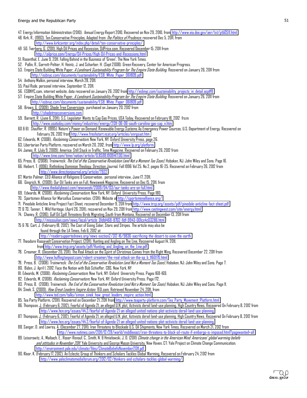- 47. Energy Information Administration (2010). Annual Energy Report 2010, Recovered on Nov 29, 2010, fro[m http://www.eia.doe.gov/aer/txt/ptb0511.html](http://www.eia.doe.gov/aer/txt/ptb0511.html)
- 48. Kirk, R., (1993). Ten Conservative Principles, Adapted from *The Politics of Prudence*, recovered Dec 5, 2011, from http://www.kirkcenter.org/index.php/detail/ten-conservative-principles/
- 49 50. Tverberg, G. (2011). High Oil Prices and Recession, OilPrice.com, Recovered December 15, 2011 from http://oilprice.com/Energy/Dil-Prices/High-Dil-Prices-and-Recessions.html
- 51. Rosenthal, E. June 9, 2011. Falling Behind in the Business of 'Green', The New York Times.
- 52. Pollin, R., Garrett-Peltier, H. Heintz, J. and Scharber, H. (Sept 2008). Green Recovery, Center for American Progress.
- 53. Empire State Building White Paper, *A Landmark Sustainability Program for The Empire State Building*. Recovered on January 26, 2011 from [http://esbnyc.com/documents/sustainability/ESB\\_White\\_Paper\\_061809.pdf](http://esbnyc.com/documents/sustainability/ESB_White_Paper_061809.pdf)
- 54. Anthony Malkin, personal interview, March 28, 2011.
- 55. Paul Rode, personal interview, September 12, 2011.
- 56. ESBNYC.com, internet website, data recovered on January 26, 2012 from http://esbnyc.com/sustainability projects in detail.asp#8
- 57. Empire State Building White Paper, A Landmark Sustainability Program for The Empire State Building. Recovered on January 26, 2011 from [http://esbnyc.com/documents/sustainability/ESB\\_White\\_Paper\\_061809.pdf](http://esbnyc.com/documents/sustainability/ESB_White_Paper_061809.pdf)
- 58. Brown, G. (2009). Shade Tree Conversions, purchased on January 20, 2012 from
- [http://shadetreeconversions.com.](http://shadetreeconversions.com/)
- 59. Barnett, R. (June 6, 2011). S.C. Legislator Wants to Cap Gas Prices, USA Today, Recovered on February 18, 2012 from http://www.usatoday.com/money/industries/energy/2011-06-06-south-carolina-gas-cap\_n.htm
- 60 & 61. Stauffer, R. (1995). Nature's Power on Demand: Renewable Energy Systems As Emergency Power Sources, U.S. Department of Energy. Recovered on February 26, 2012 from<http://www.freshstart.ncat.org/articles/enrgsyst.htm>
- 62. Edwards, M. (2008). *Reclaiming Conservatism*, New York, NY: Oxford University Press, page 26.
- 63. Libertarian Party Platform, recovered on March 20, 2012, fro[m http://www.lp.org/platform.](http://www.lp.org/platform)
- 64. James, R. (July 9, 2009). America: Still Stuck in Traffic. Time Magazine. Recovered on February 26, 2012 from <http://www.time.com/time/nation/article/0,8599,1909417,00.html>
- 65. Press, B. (2008). Trainwreck: *The End of the Conservative Revolution (and Not a Moment Too Soon)*, Hoboken, NJ: John Wiley and Sons. Page 16.
- 66. Hiebert, T. (1996). Rethinking Dominion Theology. Direction Journal. Fall 1996 Vol 25. No 2, pages 16-25. Recovered on February 26, 2012 from <http://www.directionjournal.org/article/?922>
- 67. Martin Palmer, CEO Alliance of Religions & Conservation, personal interview, June 17, 2011.
- 68. Gingrich, N., (2009). Our Oil Tanks are on Full, Newsweek Magazine, Recovered on Dec 15, 2011, from http://www.thedailybeast.com/newsweek/2009/04/03/our-tanks-are-on-full.html
- 69. Edwards, M. (2008). Reclaiming Conservatism, New York, NY: Oxford University Press. Page 180.
- 70. Sportsmen Alliance for Marcellus Conservation, (2011). Website a[t http://sportsmenalliance.org/](http://sportsmenalliance.org/)
- 71. Pinedale Anticline Area Project Fact Sheet, recovered December 9, 2011 from http://www.trcp.org/assets/pdf/pinedale-anticline-fact-sheet.pdf
- 72 & 73. Tanner, T. Wild Heritage, (April 26, 2011), recovered on Nov29, 2011 fro[m http://www.castingwest.com/site/energy.html](http://www.castingwest.com/site/energy.html)
- 74. Chaney, R. (2010). Gulf Oil Spill Threatens Birds Migrating South from Montana, Recovered on December 13, 2011 from http://missoulian.com/news/local/article\_01db1468-8702-11df-9943-001cc4c03286.html
- 75 & 76. Cart, J. (February 18, 2012). The Cost of Going Solar, Stars and Stripes. The article may also be found through the LA Times, Feb 6, 2012 at
	- http://readersupportednews.org/news-section2/312-16/9836-sacrificing-the-desert-to-save-the-earth
- 77. Theodore Roosevelt Conservation Project, (2011). Hunting and Angling on The Line, Recovered August 14, 2011, fro[m http://www.trcp.org/assets/pdf/Hunting\\_and\\_Angling\\_on\\_the\\_Line.pdf](http://www.trcp.org/assets/pdf/Hunting_and_Angling_on_the_Line.pdf)
- 78. Creamer, R. (December 20, 2011). The Real Attack on the Spirit of Christmas Comes from the Right Wing, Recovered December 22, 2011 from http://www.huffingtonpost.com/robert-creamer/the-real-attack-on-the-sp\_b\_1160170.html
- 79. Press, B. (2008). Trainwreck: *The End of the Conservative Revolution (and Not a Moment Too Soon)*, Hoboken, NJ: John Wiley and Sons. Page 7.
- 80. Biden, J. April 1, 2012. Face the Nation with Bob Schieffer. CBS. New York, NY
- 81. Edwards, M. (2008). *Reclaiming Conservatism*, New York, NY: Oxford University Press. Pages 168-169.
- 82. Edwards, M. (2008). Reclaiming Conservatism, New York, NY: Oxford University Press. Page 172.
- 83. Press, B. (2008). Trainwreck: *The End of the Conservative Revolution (and Not a Moment Too Soon)*, Hoboken, NJ: John Wiley and Sons. Page 11.
- 84. Sinek, S. (2009). *How Great Leaders Inspire Action*. TED.com. Retrieved November 24. 2011. from
- [http://www.ted.com/talks/simon\\_sinek\\_how\\_great\\_leaders\\_inspire\\_action.html.](http://www.ted.com/talks/simon_sinek_how_great_leaders_inspire_action.html)
- 85. Tea Party Platform, (2011). Recovered on December 21, 2011 from <u>http://www.teaparty-platform.com/Tea\_Party\_Movement\_Platform.html</u>
- 86. Thompson, J. (February 6, 2012), Fearful of Agenda 21, an alleged U.N. plot, Activists derail land-use planning. High Country News. Recovered On February 8, 2012 from http://www.hcn.org/issues/44.2/fearful-of-Agenda-21-an-alleged-united-nations-plot-activists-derail-land-use-planning
- 87. Thompson, J. (February 6, 2012), Fearful of Agenda 21, an alleged U.N. plot, Activists derail land-use planning. High Country News. Recovered On February 8, 2012 from http://www.hcn.org/issues/44.2/fearful-of-Agenda-21-an-alleged-united-nations-plot-activists-derail-land-use-planning
- 88. Sanger, D. and Lowrey, A. (December 27, 2011). Iran Threatens to Blockade U.S. Oil Shipments, New York Times, Recovered on March 21, 2012 from http://www.nytimes.com/2011/12/28/world/middleeast/iran-threatens-to-block-oil-route-if-embargo-is-imposed.html?pagewanted=all
- 89. Leiserowitz, A., Maibach, E., Roser-Renouf, C., Smith, N. & Hmielowski, J. D. (2011) Climate change in the American Mind: Americans' global warming beliefs and attitudes in November 2011. Yale University and George Mason University. New Haven, CT: Yale Project on Climate Change Communication. <http://environment.yale.edu/climate/files/ClimateBeliefsNovember2011.pdf>
- 90. Kloor, K. (February 17, 2012). An Eclectic Group of Thinkers and Scholars Tackles Global Warming, Recovered on February 24, 2012 from http://www.yaleclimatemediaforum.org/2012/02/thinkers-and-scholars-tackles-global-warming/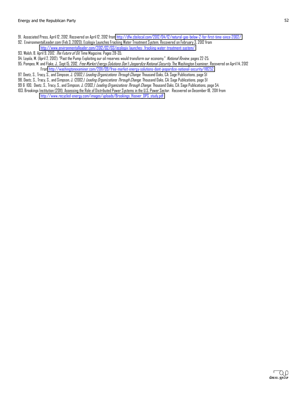- 91. Associated Press, April 12, 2012. Recovered on April 12, 2012 from http://dfw.cbslocal.com/2012/04/12/natural-gas-below-2-for-first-time-since-2002/
- 92. EnvironmentalLeader.com (Feb 3, 20120). Ecologix Launches Fracking Water Treatment System. Recovered on February 3, 2012 from http://www.environmentalleader.com/2012/02/03/ecologix-launches-fracking-water-treatment-system/
- 93. Walsh, B. April 9, 2012. *The Future of Oil.* Time Magazine. Pages 28-35.
- 94. Loyola, M. (April 2, 2012). "Past the Pump: Exploiting our oil reserves would transform our economy." National Review, pages 22-25.
- 95. Pompeo, M. and Flake, J.. Sept 15, 2012. Free Market Energy Salutions Dan't Jeapardize National Security. The Washington Examiner. Recovered on April 14, 2012 From http://washingtonexaminer.com/2011/09/free-market-energy-solutions-dont-jeopardize-national-security/118252.
- 97. Deetz, S., Tracy, S., and Simpson, J. (2002*). Leading Organizations Through Change*. Thousand Oaks, CA: Sage Publications, page 51
- 98. Deetz, S., Tracy, S., and Simpson, J. (2002*). Leading Organizations Through Change*. Thousand Oaks, CA: Sage Publications, page 51
- 99 & 100, Deetz, S., Tracy, S., and Simpson, J. (2002*). Leading Organizations Through Change*. Thousand Oaks, CA: Sage Publications, page 54.
- 103. Brookings Institution (2011). Assessing the Role of Distributed Power Systems in the U.S. Power Sector. Recovered on December 18, 2011 from http://www.recycled-energy.com/images/uploads/Brookings\_Hoover\_DPS\_study.pdf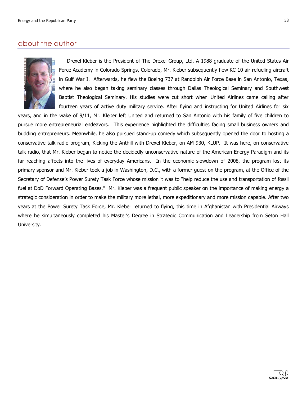### about the author



Drexel Kleber is the President of The Drexel Group, Ltd. A 1988 graduate of the United States Air Force Academy in Colorado Springs, Colorado, Mr. Kleber subsequently flew KC-10 air-refueling aircraft in'Gulf War I. Afterwards, he flew the Boeing 737 at Randolph Air Force Base in San Antonio, Texas, where he also began taking seminary classes through Dallas Theological Seminary and Southwest Baptist' Theological Seminary. His studies were cut short when United Airlines came calling after fourteen years of active duty military service. After flying and instructing for United Airlines for six

years, and in the wake of 9/11, Mr. Kleber left United and returned to San Antonio with his family of five children to pursue more entrepreneurial endeavors. This experience highlighted the difficulties facing small business owners and budding entrepreneurs. Meanwhile, he also pursued stand-up comedy which subsequently opened the door to hosting a conservative talk radio program, Kicking the Anthill with Drexel Kleber, on AM 930, KLUP. It was here, on conservative talk radio, that Mr. Kleber began to notice the decidedly unconservative nature of the American Energy Paradigm and its far reaching affects into the lives of everyday Americans. In the economic slowdown of 2008, the program lost its primary sponsor and Mr. Kleber took a job in Washington, D.C., with a former quest on the program, at the Office of the Secretary of Defense's Power Surety Task Force whose mission it was to "help reduce the use and transportation of fossil fuel at DoD Forward Operating Bases." Mr. Kleber was a frequent public speaker on the importance of making energy a strategic consideration in order to make the military more lethal, more expeditionary and more mission capable. After two years at the Power Surety Task Force, Mr. Kleber returned to flying, this time in Afghanistan with Presidential Airways where he simultaneously completed his Master's Degree in Strategic Communication and Leadership from Seton Hall University.